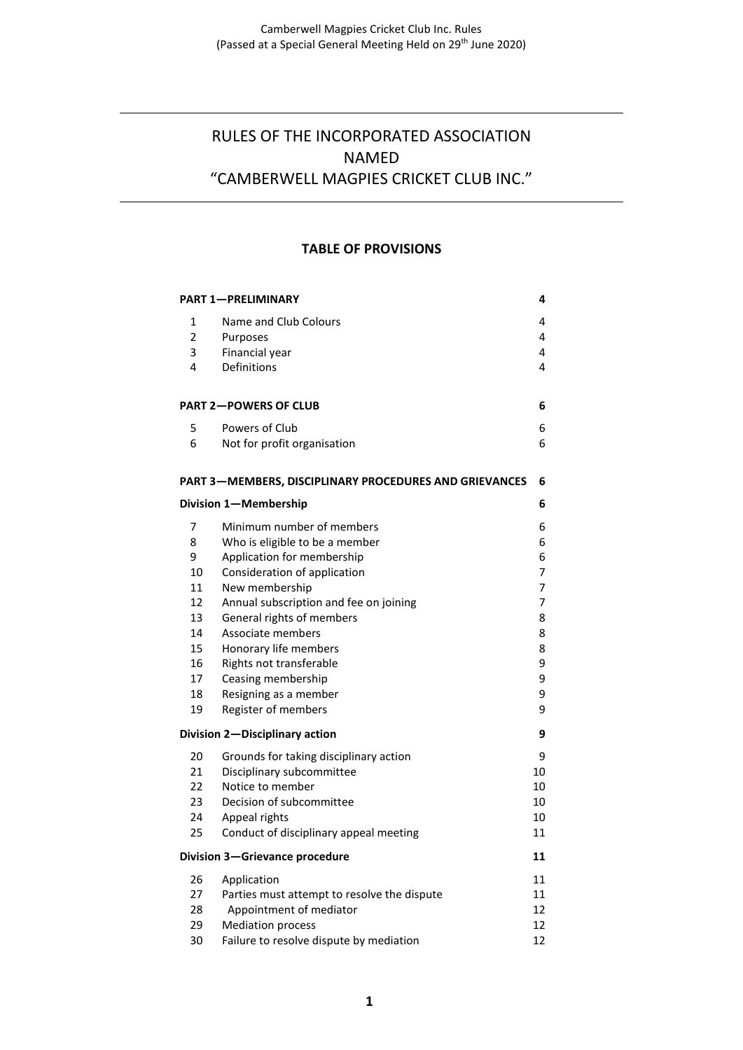# RULES OF THE INCORPORATED ASSOCIATION NAMED "CAMBERWELL MAGPIES CRICKET CLUB INC."

#### **TABLE OF PROVISIONS**

| <b>PART 1-PRELIMINARY</b>                              |                                             |    |  |  |
|--------------------------------------------------------|---------------------------------------------|----|--|--|
| 1                                                      | Name and Club Colours                       | 4  |  |  |
| $\overline{2}$                                         | Purposes                                    | 4  |  |  |
| 3                                                      | Financial year                              | 4  |  |  |
| 4                                                      | Definitions                                 | 4  |  |  |
|                                                        |                                             |    |  |  |
| <b>PART 2-POWERS OF CLUB</b>                           |                                             |    |  |  |
| 5                                                      | Powers of Club                              | 6  |  |  |
| 6                                                      | Not for profit organisation                 | 6  |  |  |
| PART 3-MEMBERS, DISCIPLINARY PROCEDURES AND GRIEVANCES |                                             |    |  |  |
| Division 1-Membership<br>6                             |                                             |    |  |  |
| 7                                                      | Minimum number of members                   | 6  |  |  |
| 8                                                      | Who is eligible to be a member              | 6  |  |  |
| 9                                                      | Application for membership                  | 6  |  |  |
| 10                                                     | Consideration of application                | 7  |  |  |
| 11                                                     | New membership                              | 7  |  |  |
| 12                                                     | Annual subscription and fee on joining      | 7  |  |  |
| 13                                                     | General rights of members                   | 8  |  |  |
| 14                                                     | Associate members                           | 8  |  |  |
| 15                                                     | Honorary life members                       | 8  |  |  |
| 16                                                     | Rights not transferable                     | 9  |  |  |
| 17                                                     | Ceasing membership                          | 9  |  |  |
| 18                                                     | Resigning as a member                       | 9  |  |  |
| 19                                                     | Register of members                         | 9  |  |  |
| Division 2-Disciplinary action<br>9                    |                                             |    |  |  |
| 20                                                     | Grounds for taking disciplinary action      | 9  |  |  |
| 21                                                     | Disciplinary subcommittee                   | 10 |  |  |
| 22                                                     | Notice to member                            | 10 |  |  |
| 23                                                     | Decision of subcommittee                    | 10 |  |  |
| 24                                                     | Appeal rights                               | 10 |  |  |
| 25                                                     | Conduct of disciplinary appeal meeting      | 11 |  |  |
| Division 3-Grievance procedure                         |                                             |    |  |  |
| 26                                                     | Application                                 | 11 |  |  |
| 27                                                     | Parties must attempt to resolve the dispute | 11 |  |  |
| 28                                                     | Appointment of mediator                     | 12 |  |  |
| 29                                                     | <b>Mediation process</b>                    | 12 |  |  |
| 30                                                     | Failure to resolve dispute by mediation     | 12 |  |  |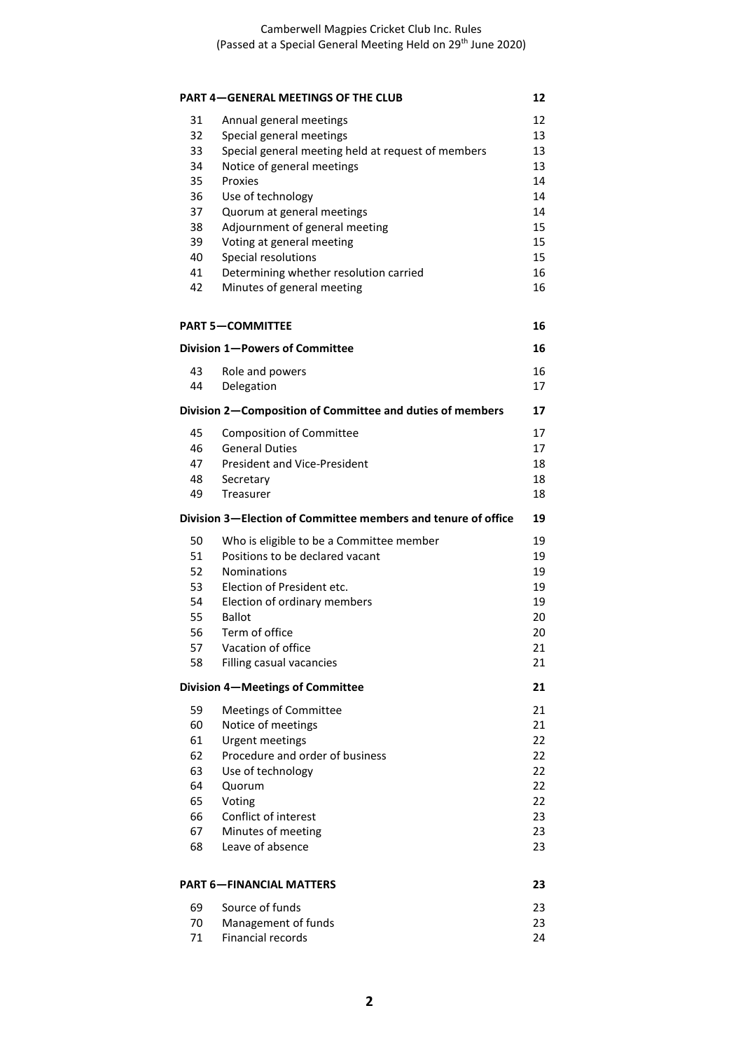|          | <b>PART 4-GENERAL MEETINGS OF THE CLUB</b>                    | 12       |
|----------|---------------------------------------------------------------|----------|
| 31       | Annual general meetings                                       | 12       |
| 32       | Special general meetings                                      | 13       |
| 33       | Special general meeting held at request of members            | 13       |
| 34       | Notice of general meetings                                    | 13       |
| 35       | Proxies                                                       | 14       |
| 36       | Use of technology                                             | 14       |
| 37       | Quorum at general meetings                                    | 14       |
| 38       | Adjournment of general meeting                                | 15       |
| 39       | Voting at general meeting                                     | 15       |
| 40       | Special resolutions                                           | 15       |
| 41       | Determining whether resolution carried                        | 16       |
| 42       | Minutes of general meeting                                    | 16       |
|          | <b>PART 5-COMMITTEE</b>                                       | 16       |
|          | Division 1-Powers of Committee                                | 16       |
| 43       | Role and powers                                               | 16       |
| 44       | Delegation                                                    | 17       |
|          | Division 2-Composition of Committee and duties of members     | 17       |
| 45<br>46 | <b>Composition of Committee</b><br><b>General Duties</b>      | 17<br>17 |
| 47       | <b>President and Vice-President</b>                           | 18       |
| 48       | Secretary                                                     | 18       |
| 49       | Treasurer                                                     | 18       |
|          | Division 3—Election of Committee members and tenure of office | 19       |
| 50       | Who is eligible to be a Committee member                      | 19       |
| 51       | Positions to be declared vacant                               | 19       |
| 52       | <b>Nominations</b>                                            | 19       |
| 53       | Election of President etc.                                    | 19       |
| 54       | Election of ordinary members                                  | 19       |
| 55       | <b>Ballot</b>                                                 | 20       |
| 56       | Term of office                                                | 20       |
| 57       | Vacation of office                                            | 21       |
| 58       | Filling casual vacancies                                      | 21       |
|          | Division 4-Meetings of Committee                              | 21       |
| 59       | <b>Meetings of Committee</b>                                  | 21       |
| 60       | Notice of meetings                                            | 21       |
| 61       | <b>Urgent meetings</b>                                        | 22       |
| 62       | Procedure and order of business                               | 22       |
| 63       | Use of technology                                             | 22       |
| 64       | Quorum                                                        | 22       |
| 65       | Voting                                                        | 22       |
| 66       | Conflict of interest                                          | 23       |
| 67<br>68 | Minutes of meeting<br>Leave of absence                        | 23<br>23 |
|          |                                                               |          |
|          | <b>PART 6-FINANCIAL MATTERS</b>                               | 23       |
| 69       | Source of funds                                               | 23       |
| 70       | Management of funds                                           | 23       |
| 71       | <b>Financial records</b>                                      | 24       |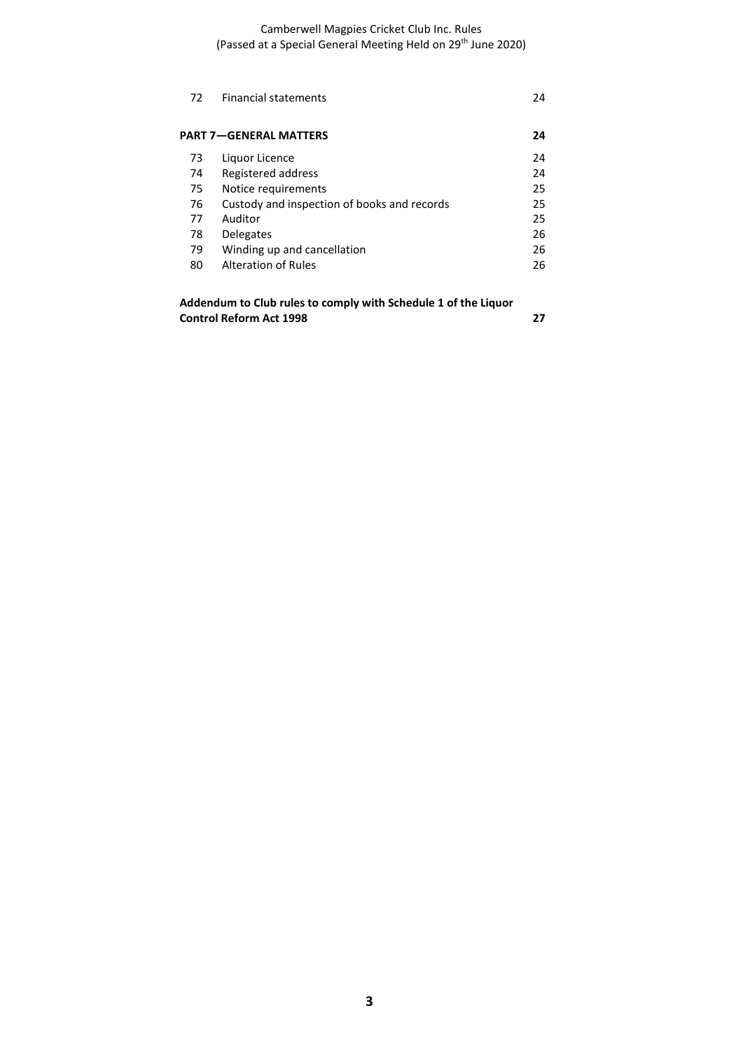Camberwell Magpies Cricket Club Inc. Rules (Passed at a Special General Meeting Held on 29th June 2020)

| 72 | <b>Financial statements</b>                 | 24 |
|----|---------------------------------------------|----|
|    | <b>PART 7-GENERAL MATTERS</b>               | 24 |
| 73 | Liquor Licence                              | 24 |
| 74 | Registered address                          | 24 |
| 75 | Notice requirements                         | 25 |
| 76 | Custody and inspection of books and records | 25 |
| 77 | Auditor                                     | 25 |
| 78 | <b>Delegates</b>                            | 26 |
| 79 | Winding up and cancellation                 | 26 |
| 80 | <b>Alteration of Rules</b>                  | 26 |
|    |                                             |    |

**Addendum to Club rules to comply with Schedule 1 of the Liquor Control Reform Act 1998 27**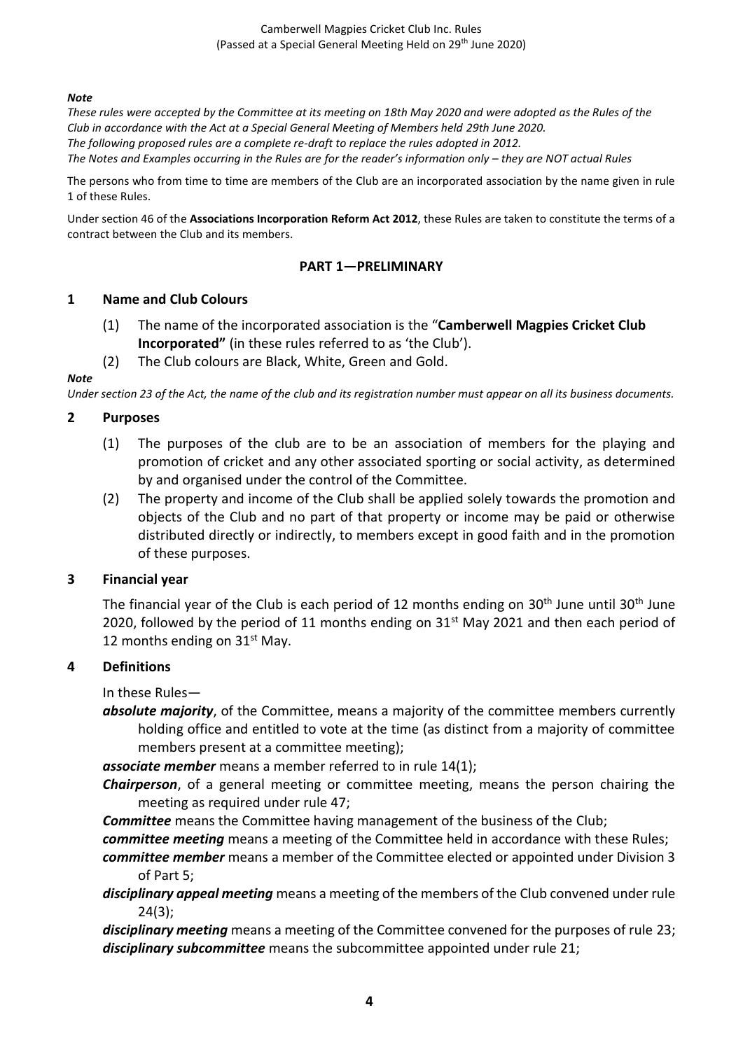Camberwell Magpies Cricket Club Inc. Rules (Passed at a Special General Meeting Held on 29<sup>th</sup> June 2020)

#### *Note*

*These rules were accepted by the Committee at its meeting on 18th May 2020 and were adopted as the Rules of the Club in accordance with the Act at a Special General Meeting of Members held 29th June 2020. The following proposed rules are a complete re-draft to replace the rules adopted in 2012. The Notes and Examples occurring in the Rules are for the reader's information only – they are NOT actual Rules*

The persons who from time to time are members of the Club are an incorporated association by the name given in rule 1 of these Rules.

Under section 46 of the **Associations Incorporation Reform Act 2012**, these Rules are taken to constitute the terms of a contract between the Club and its members.

#### **PART 1—PRELIMINARY**

#### **1 Name and Club Colours**

- (1) The name of the incorporated association is the "**Camberwell Magpies Cricket Club Incorporated"** (in these rules referred to as 'the Club').
- (2) The Club colours are Black, White, Green and Gold.

#### *Note*

*Under section 23 of the Act, the name of the club and its registration number must appear on all its business documents.*

#### **2 Purposes**

- (1) The purposes of the club are to be an association of members for the playing and promotion of cricket and any other associated sporting or social activity, as determined by and organised under the control of the Committee.
- (2) The property and income of the Club shall be applied solely towards the promotion and objects of the Club and no part of that property or income may be paid or otherwise distributed directly or indirectly, to members except in good faith and in the promotion of these purposes.

#### **3 Financial year**

The financial year of the Club is each period of 12 months ending on  $30<sup>th</sup>$  June until  $30<sup>th</sup>$  June 2020, followed by the period of 11 months ending on  $31<sup>st</sup>$  May 2021 and then each period of 12 months ending on  $31<sup>st</sup>$  May.

#### **4 Definitions**

In these Rules—

*absolute majority*, of the Committee, means a majority of the committee members currently holding office and entitled to vote at the time (as distinct from a majority of committee members present at a committee meeting);

*associate member* means a member referred to in rule 14(1);

*Chairperson*, of a general meeting or committee meeting, means the person chairing the meeting as required under rule 47;

**Committee** means the Committee having management of the business of the Club;

- *committee meeting* means a meeting of the Committee held in accordance with these Rules;
- *committee member* means a member of the Committee elected or appointed under Division 3 of Part 5;
- *disciplinary appeal meeting* means a meeting of the members of the Club convened under rule 24(3);

*disciplinary meeting* means a meeting of the Committee convened for the purposes of rule 23; *disciplinary subcommittee* means the subcommittee appointed under rule 21;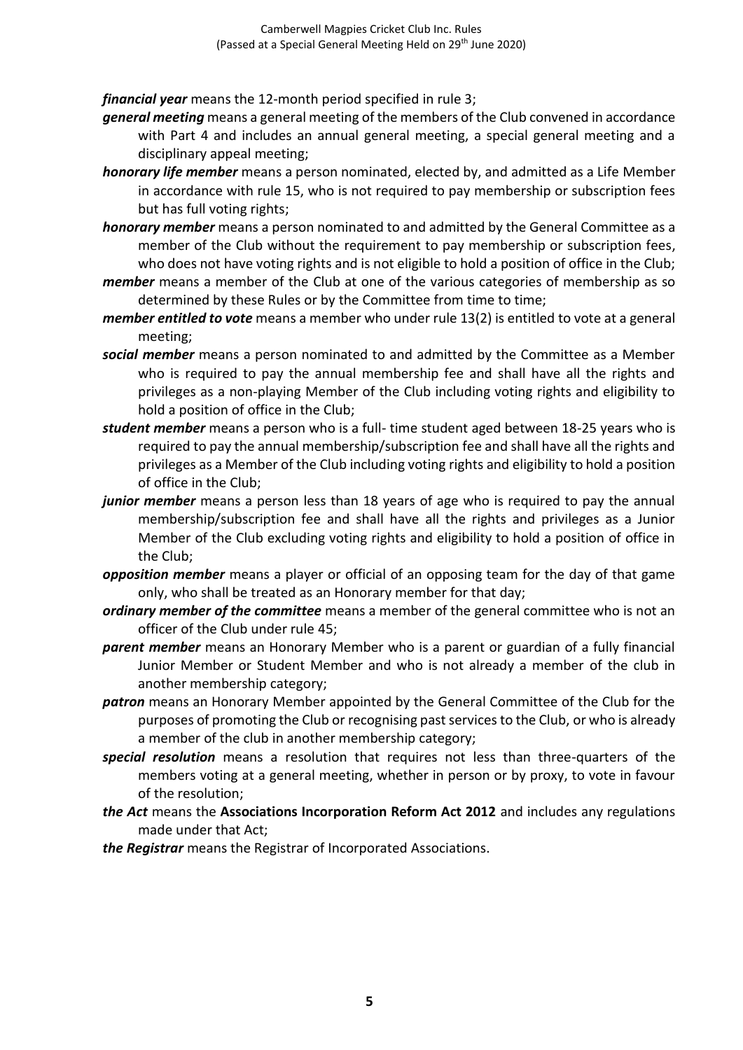*financial year* means the 12-month period specified in rule 3;

- *general meeting* means a general meeting of the members of the Club convened in accordance with Part 4 and includes an annual general meeting, a special general meeting and a disciplinary appeal meeting;
- *honorary life member* means a person nominated, elected by, and admitted as a Life Member in accordance with rule 15, who is not required to pay membership or subscription fees but has full voting rights;
- *honorary member* means a person nominated to and admitted by the General Committee as a member of the Club without the requirement to pay membership or subscription fees, who does not have voting rights and is not eligible to hold a position of office in the Club;
- *member* means a member of the Club at one of the various categories of membership as so determined by these Rules or by the Committee from time to time;
- *member entitled to vote* means a member who under rule 13(2) is entitled to vote at a general meeting;
- *social member* means a person nominated to and admitted by the Committee as a Member who is required to pay the annual membership fee and shall have all the rights and privileges as a non-playing Member of the Club including voting rights and eligibility to hold a position of office in the Club;
- *student member* means a person who is a full- time student aged between 18-25 years who is required to pay the annual membership/subscription fee and shall have all the rights and privileges as a Member of the Club including voting rights and eligibility to hold a position of office in the Club;
- junior member means a person less than 18 years of age who is required to pay the annual membership/subscription fee and shall have all the rights and privileges as a Junior Member of the Club excluding voting rights and eligibility to hold a position of office in the Club;
- *opposition member* means a player or official of an opposing team for the day of that game only, who shall be treated as an Honorary member for that day;
- *ordinary member of the committee* means a member of the general committee who is not an officer of the Club under rule 45;
- *parent member* means an Honorary Member who is a parent or guardian of a fully financial Junior Member or Student Member and who is not already a member of the club in another membership category;
- *patron* means an Honorary Member appointed by the General Committee of the Club for the purposes of promoting the Club or recognising past services to the Club, or who is already a member of the club in another membership category;
- *special resolution* means a resolution that requires not less than three-quarters of the members voting at a general meeting, whether in person or by proxy, to vote in favour of the resolution;
- *the Act* means the **Associations Incorporation Reform Act 2012** and includes any regulations made under that Act;

*the Registrar* means the Registrar of Incorporated Associations.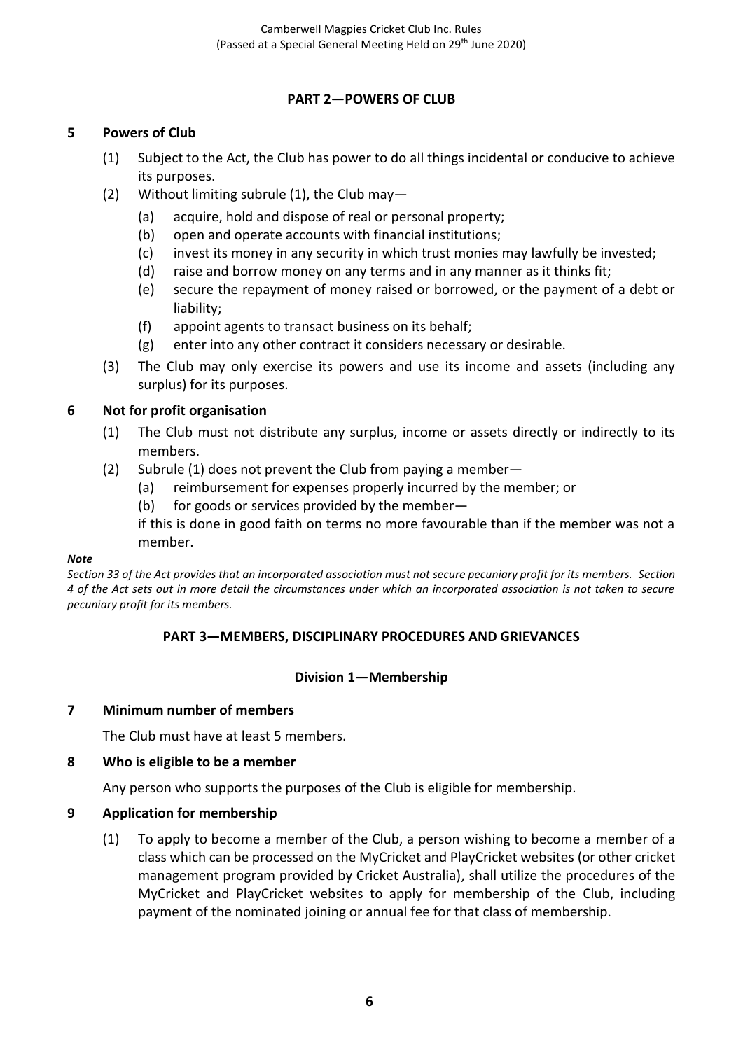## **PART 2—POWERS OF CLUB**

### **5 Powers of Club**

- (1) Subject to the Act, the Club has power to do all things incidental or conducive to achieve its purposes.
- (2) Without limiting subrule (1), the Club may-
	- (a) acquire, hold and dispose of real or personal property;
	- (b) open and operate accounts with financial institutions;
	- (c) invest its money in any security in which trust monies may lawfully be invested;
	- (d) raise and borrow money on any terms and in any manner as it thinks fit;
	- (e) secure the repayment of money raised or borrowed, or the payment of a debt or liability;
	- (f) appoint agents to transact business on its behalf;
	- (g) enter into any other contract it considers necessary or desirable.
- (3) The Club may only exercise its powers and use its income and assets (including any surplus) for its purposes.

## **6 Not for profit organisation**

- (1) The Club must not distribute any surplus, income or assets directly or indirectly to its members.
- (2) Subrule (1) does not prevent the Club from paying a member—
	- (a) reimbursement for expenses properly incurred by the member; or
	- (b) for goods or services provided by the member—

if this is done in good faith on terms no more favourable than if the member was not a member.

#### *Note*

*Section 33 of the Act provides that an incorporated association must not secure pecuniary profit for its members. Section 4 of the Act sets out in more detail the circumstances under which an incorporated association is not taken to secure pecuniary profit for its members.*

### **PART 3—MEMBERS, DISCIPLINARY PROCEDURES AND GRIEVANCES**

### **Division 1—Membership**

### **7 Minimum number of members**

The Club must have at least 5 members.

### **8 Who is eligible to be a member**

Any person who supports the purposes of the Club is eligible for membership.

### **9 Application for membership**

(1) To apply to become a member of the Club, a person wishing to become a member of a class which can be processed on the MyCricket and PlayCricket websites (or other cricket management program provided by Cricket Australia), shall utilize the procedures of the MyCricket and PlayCricket websites to apply for membership of the Club, including payment of the nominated joining or annual fee for that class of membership.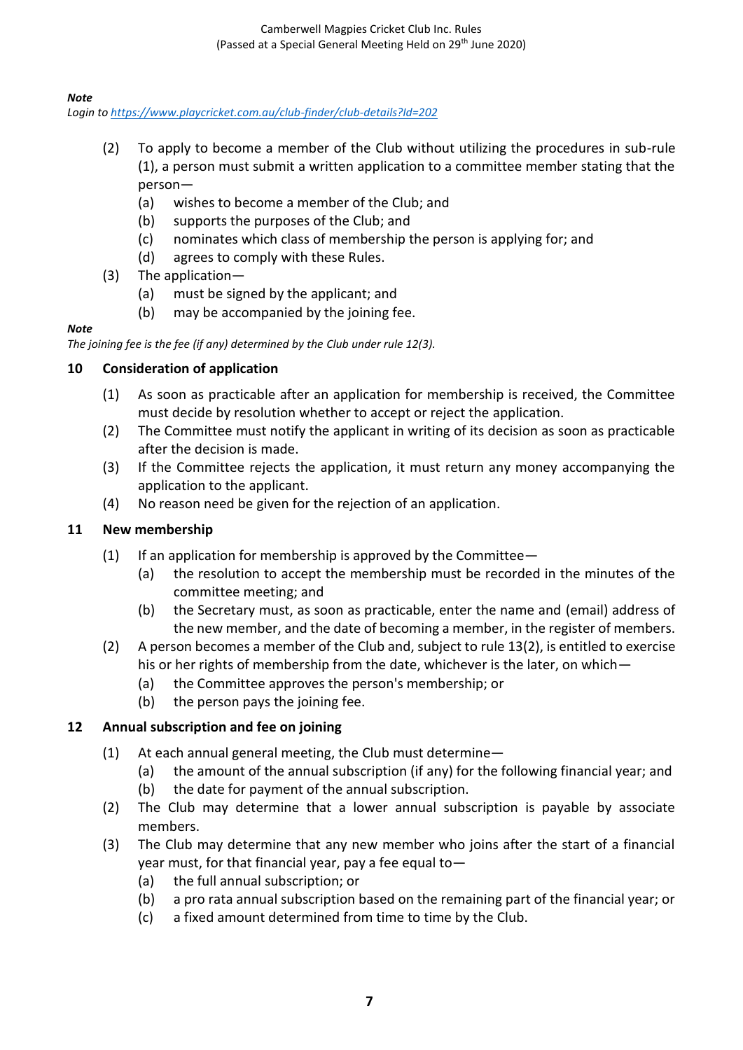### *Note*

*Login to <https://www.playcricket.com.au/club-finder/club-details?Id=202>*

- (2) To apply to become a member of the Club without utilizing the procedures in sub-rule (1), a person must submit a written application to a committee member stating that the person—
	- (a) wishes to become a member of the Club; and
	- (b) supports the purposes of the Club; and
	- (c) nominates which class of membership the person is applying for; and
	- (d) agrees to comply with these Rules.
- (3) The application—
	- (a) must be signed by the applicant; and
	- (b) may be accompanied by the joining fee.

#### *Note*

*The joining fee is the fee (if any) determined by the Club under rule 12(3).*

### **10 Consideration of application**

- (1) As soon as practicable after an application for membership is received, the Committee must decide by resolution whether to accept or reject the application.
- (2) The Committee must notify the applicant in writing of its decision as soon as practicable after the decision is made.
- (3) If the Committee rejects the application, it must return any money accompanying the application to the applicant.
- (4) No reason need be given for the rejection of an application.

## **11 New membership**

- $(1)$  If an application for membership is approved by the Committee—
	- (a) the resolution to accept the membership must be recorded in the minutes of the committee meeting; and
	- (b) the Secretary must, as soon as practicable, enter the name and (email) address of the new member, and the date of becoming a member, in the register of members.
- (2) A person becomes a member of the Club and, subject to rule 13(2), is entitled to exercise his or her rights of membership from the date, whichever is the later, on which—
	- (a) the Committee approves the person's membership; or
	- (b) the person pays the joining fee.

## **12 Annual subscription and fee on joining**

- (1) At each annual general meeting, the Club must determine—
	- (a) the amount of the annual subscription (if any) for the following financial year; and
	- (b) the date for payment of the annual subscription.
- (2) The Club may determine that a lower annual subscription is payable by associate members.
- (3) The Club may determine that any new member who joins after the start of a financial year must, for that financial year, pay a fee equal to—
	- (a) the full annual subscription; or
	- (b) a pro rata annual subscription based on the remaining part of the financial year; or
	- (c) a fixed amount determined from time to time by the Club.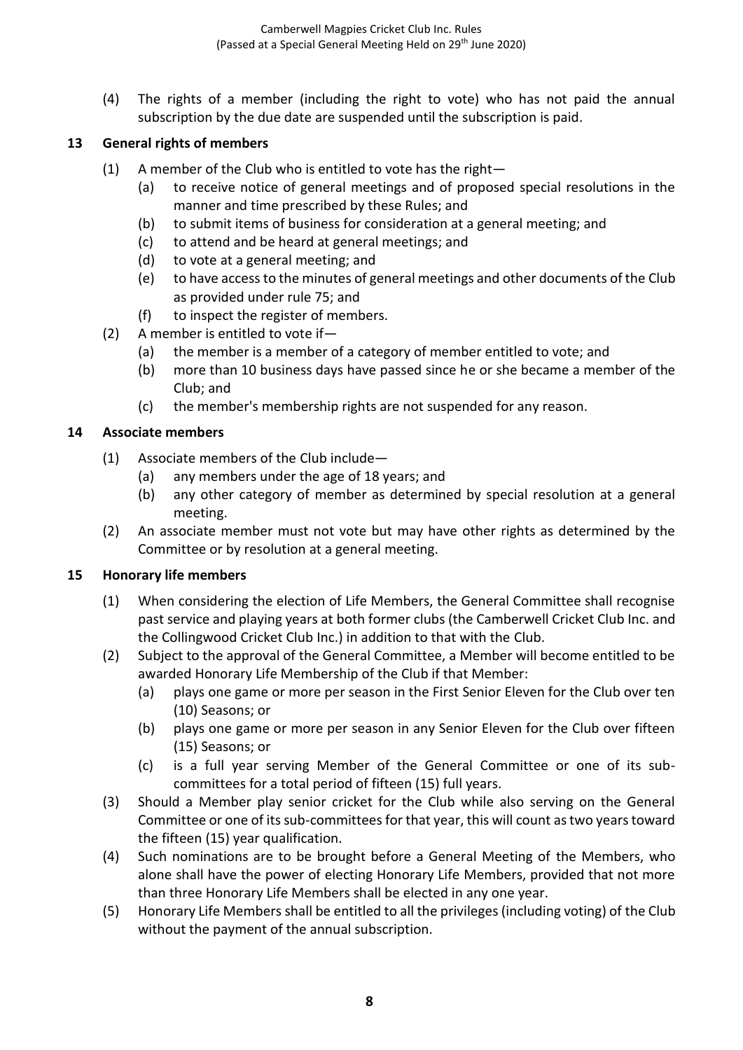(4) The rights of a member (including the right to vote) who has not paid the annual subscription by the due date are suspended until the subscription is paid.

## **13 General rights of members**

- (1) A member of the Club who is entitled to vote has the right—
	- (a) to receive notice of general meetings and of proposed special resolutions in the manner and time prescribed by these Rules; and
	- (b) to submit items of business for consideration at a general meeting; and
	- (c) to attend and be heard at general meetings; and
	- (d) to vote at a general meeting; and
	- (e) to have access to the minutes of general meetings and other documents of the Club as provided under rule 75; and
	- (f) to inspect the register of members.
- (2) A member is entitled to vote if—
	- (a) the member is a member of a category of member entitled to vote; and
	- (b) more than 10 business days have passed since he or she became a member of the Club; and
	- (c) the member's membership rights are not suspended for any reason.

## **14 Associate members**

- (1) Associate members of the Club include—
	- (a) any members under the age of 18 years; and
	- (b) any other category of member as determined by special resolution at a general meeting.
- (2) An associate member must not vote but may have other rights as determined by the Committee or by resolution at a general meeting.

### **15 Honorary life members**

- (1) When considering the election of Life Members, the General Committee shall recognise past service and playing years at both former clubs (the Camberwell Cricket Club Inc. and the Collingwood Cricket Club Inc.) in addition to that with the Club.
- (2) Subject to the approval of the General Committee, a Member will become entitled to be awarded Honorary Life Membership of the Club if that Member:
	- (a) plays one game or more per season in the First Senior Eleven for the Club over ten (10) Seasons; or
	- (b) plays one game or more per season in any Senior Eleven for the Club over fifteen (15) Seasons; or
	- (c) is a full year serving Member of the General Committee or one of its subcommittees for a total period of fifteen (15) full years.
- (3) Should a Member play senior cricket for the Club while also serving on the General Committee or one of its sub-committees for that year, this will count as two years toward the fifteen (15) year qualification.
- (4) Such nominations are to be brought before a General Meeting of the Members, who alone shall have the power of electing Honorary Life Members, provided that not more than three Honorary Life Members shall be elected in any one year.
- (5) Honorary Life Members shall be entitled to all the privileges (including voting) of the Club without the payment of the annual subscription.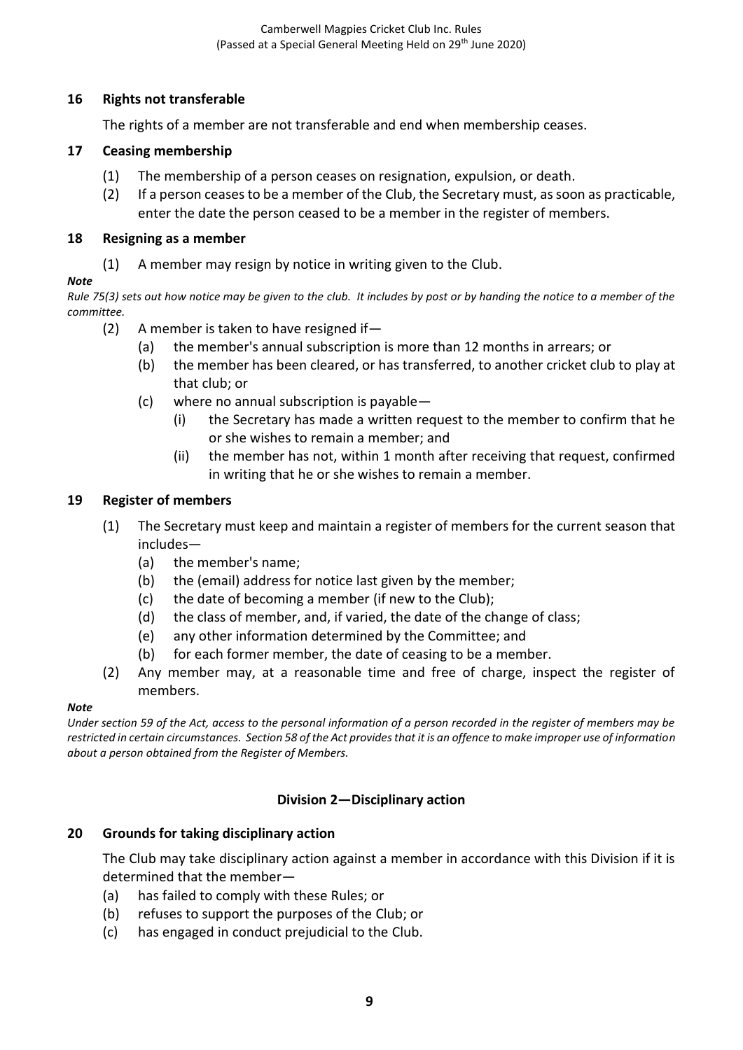## **16 Rights not transferable**

The rights of a member are not transferable and end when membership ceases.

### **17 Ceasing membership**

- (1) The membership of a person ceases on resignation, expulsion, or death.
- (2) If a person ceases to be a member of the Club, the Secretary must, as soon as practicable, enter the date the person ceased to be a member in the register of members.

### **18 Resigning as a member**

(1) A member may resign by notice in writing given to the Club.

#### *Note*

*Rule 75(3) sets out how notice may be given to the club. It includes by post or by handing the notice to a member of the committee.*

- (2) A member is taken to have resigned if—
	- (a) the member's annual subscription is more than 12 months in arrears; or
	- (b) the member has been cleared, or has transferred, to another cricket club to play at that club; or
	- (c) where no annual subscription is payable—
		- (i) the Secretary has made a written request to the member to confirm that he or she wishes to remain a member; and
		- (ii) the member has not, within 1 month after receiving that request, confirmed in writing that he or she wishes to remain a member.

### **19 Register of members**

- (1) The Secretary must keep and maintain a register of members for the current season that includes—
	- (a) the member's name;
	- (b) the (email) address for notice last given by the member;
	- (c) the date of becoming a member (if new to the Club);
	- (d) the class of member, and, if varied, the date of the change of class;
	- (e) any other information determined by the Committee; and
	- (b) for each former member, the date of ceasing to be a member.
- (2) Any member may, at a reasonable time and free of charge, inspect the register of members.

#### *Note*

*Under section 59 of the Act, access to the personal information of a person recorded in the register of members may be restricted in certain circumstances. Section 58 of the Act provides that it is an offence to make improper use of information about a person obtained from the Register of Members.*

### **Division 2—Disciplinary action**

### **20 Grounds for taking disciplinary action**

The Club may take disciplinary action against a member in accordance with this Division if it is determined that the member—

- (a) has failed to comply with these Rules; or
- (b) refuses to support the purposes of the Club; or
- (c) has engaged in conduct prejudicial to the Club.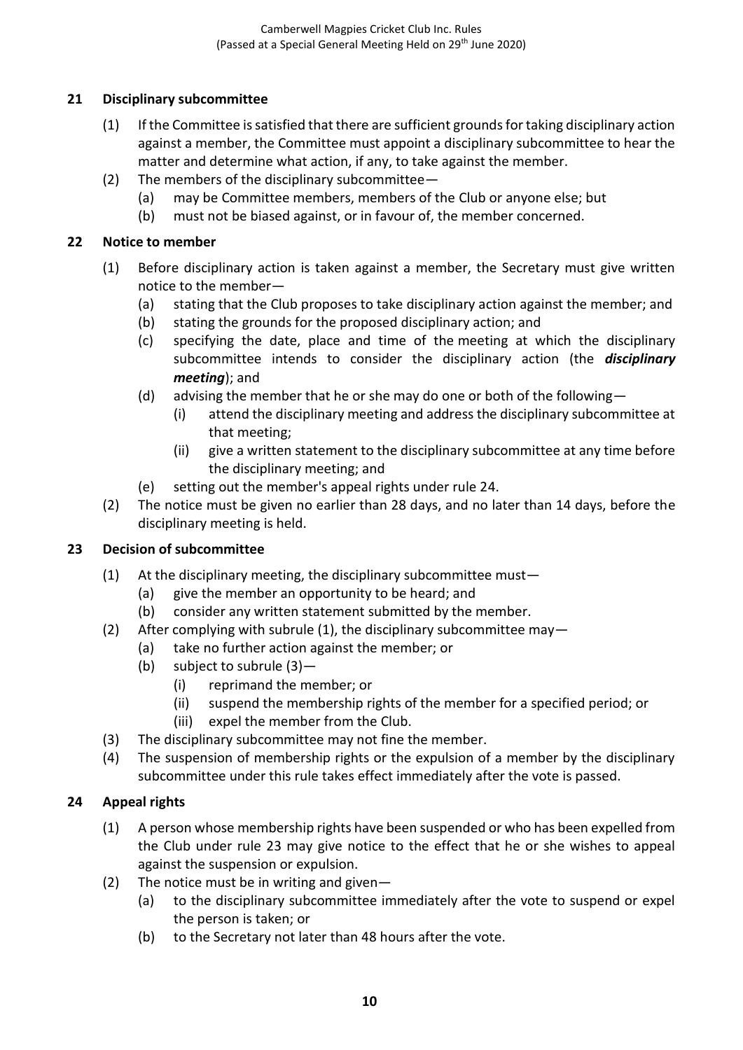## **21 Disciplinary subcommittee**

- (1) If the Committee is satisfied that there are sufficient grounds for taking disciplinary action against a member, the Committee must appoint a disciplinary subcommittee to hear the matter and determine what action, if any, to take against the member.
- (2) The members of the disciplinary subcommittee—
	- (a) may be Committee members, members of the Club or anyone else; but
	- (b) must not be biased against, or in favour of, the member concerned.

#### **22 Notice to member**

- (1) Before disciplinary action is taken against a member, the Secretary must give written notice to the member—
	- (a) stating that the Club proposes to take disciplinary action against the member; and
	- (b) stating the grounds for the proposed disciplinary action; and
	- (c) specifying the date, place and time of the meeting at which the disciplinary subcommittee intends to consider the disciplinary action (the *disciplinary meeting*); and
	- (d) advising the member that he or she may do one or both of the following—
		- (i) attend the disciplinary meeting and address the disciplinary subcommittee at that meeting;
		- (ii) give a written statement to the disciplinary subcommittee at any time before the disciplinary meeting; and
	- (e) setting out the member's appeal rights under rule 24.
- (2) The notice must be given no earlier than 28 days, and no later than 14 days, before the disciplinary meeting is held.

### **23 Decision of subcommittee**

- (1) At the disciplinary meeting, the disciplinary subcommittee must—
	- (a) give the member an opportunity to be heard; and
	- (b) consider any written statement submitted by the member.
- (2) After complying with subrule (1), the disciplinary subcommittee may—
	- (a) take no further action against the member; or
		- (b) subject to subrule (3)—
			- (i) reprimand the member; or
			- (ii) suspend the membership rights of the member for a specified period; or
			- (iii) expel the member from the Club.
- (3) The disciplinary subcommittee may not fine the member.
- (4) The suspension of membership rights or the expulsion of a member by the disciplinary subcommittee under this rule takes effect immediately after the vote is passed.

### **24 Appeal rights**

- (1) A person whose membership rights have been suspended or who has been expelled from the Club under rule 23 may give notice to the effect that he or she wishes to appeal against the suspension or expulsion.
- (2) The notice must be in writing and given—
	- (a) to the disciplinary subcommittee immediately after the vote to suspend or expel the person is taken; or
	- (b) to the Secretary not later than 48 hours after the vote.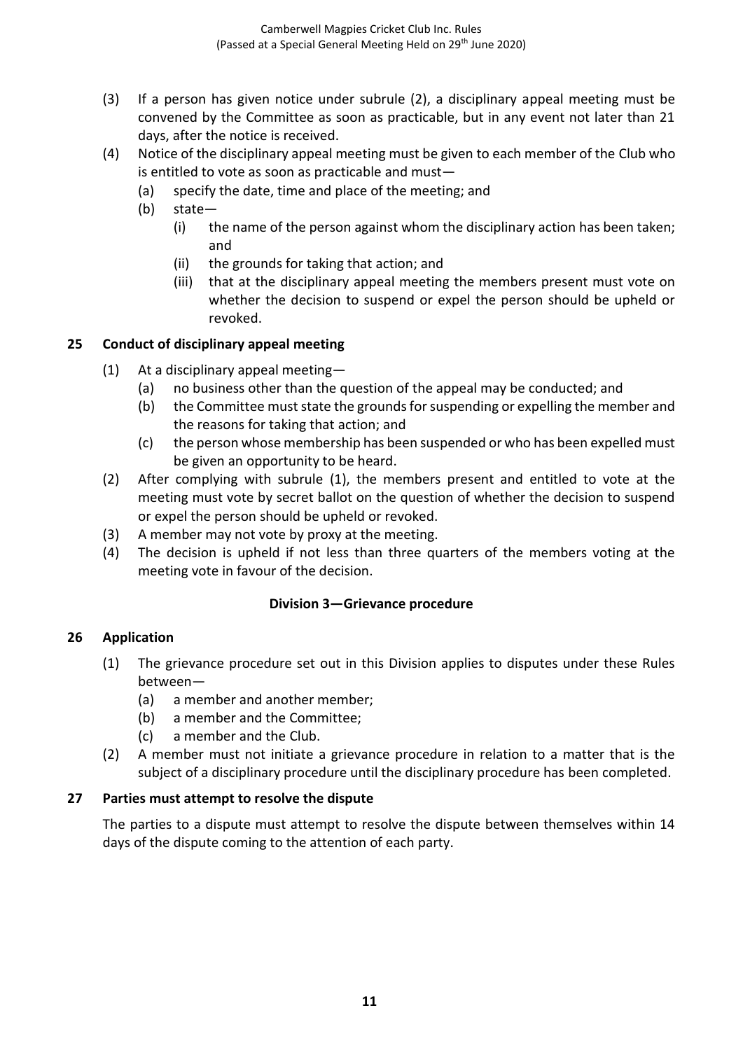- (3) If a person has given notice under subrule (2), a disciplinary appeal meeting must be convened by the Committee as soon as practicable, but in any event not later than 21 days, after the notice is received.
- (4) Notice of the disciplinary appeal meeting must be given to each member of the Club who is entitled to vote as soon as practicable and must—
	- (a) specify the date, time and place of the meeting; and
	- (b) state—
		- (i) the name of the person against whom the disciplinary action has been taken; and
		- (ii) the grounds for taking that action; and
		- (iii) that at the disciplinary appeal meeting the members present must vote on whether the decision to suspend or expel the person should be upheld or revoked.

### **25 Conduct of disciplinary appeal meeting**

- (1) At a disciplinary appeal meeting—
	- (a) no business other than the question of the appeal may be conducted; and
	- (b) the Committee must state the grounds for suspending or expelling the member and the reasons for taking that action; and
	- (c) the person whose membership has been suspended or who has been expelled must be given an opportunity to be heard.
- (2) After complying with subrule (1), the members present and entitled to vote at the meeting must vote by secret ballot on the question of whether the decision to suspend or expel the person should be upheld or revoked.
- (3) A member may not vote by proxy at the meeting.
- (4) The decision is upheld if not less than three quarters of the members voting at the meeting vote in favour of the decision.

### **Division 3—Grievance procedure**

### **26 Application**

- (1) The grievance procedure set out in this Division applies to disputes under these Rules between—
	- (a) a member and another member;
	- (b) a member and the Committee;
	- (c) a member and the Club.
- (2) A member must not initiate a grievance procedure in relation to a matter that is the subject of a disciplinary procedure until the disciplinary procedure has been completed.

### **27 Parties must attempt to resolve the dispute**

The parties to a dispute must attempt to resolve the dispute between themselves within 14 days of the dispute coming to the attention of each party.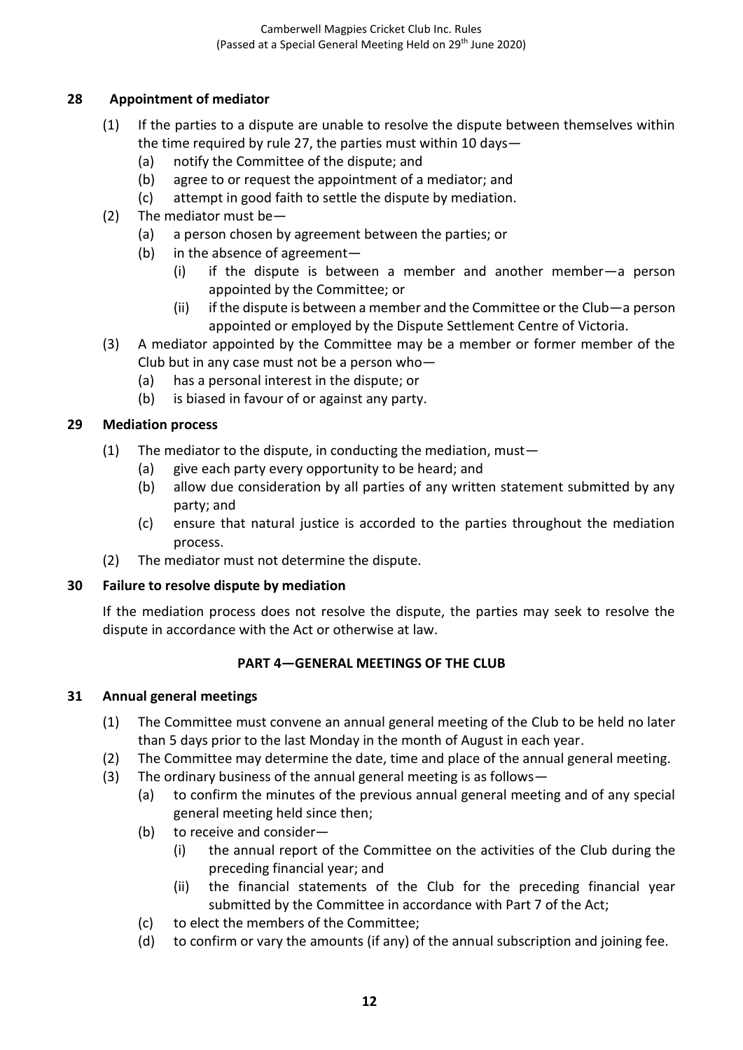## **28 Appointment of mediator**

- (1) If the parties to a dispute are unable to resolve the dispute between themselves within the time required by rule 27, the parties must within 10 days—
	- (a) notify the Committee of the dispute; and
	- (b) agree to or request the appointment of a mediator; and
	- (c) attempt in good faith to settle the dispute by mediation.
- (2) The mediator must be—
	- (a) a person chosen by agreement between the parties; or
	- (b) in the absence of agreement—
		- (i) if the dispute is between a member and another member—a person appointed by the Committee; or
		- (ii) if the dispute is between a member and the Committee or the Club—a person appointed or employed by the Dispute Settlement Centre of Victoria.
- (3) A mediator appointed by the Committee may be a member or former member of the Club but in any case must not be a person who—
	- (a) has a personal interest in the dispute; or
	- (b) is biased in favour of or against any party.

## **29 Mediation process**

- (1) The mediator to the dispute, in conducting the mediation, must  $-$ 
	- (a) give each party every opportunity to be heard; and
	- (b) allow due consideration by all parties of any written statement submitted by any party; and
	- (c) ensure that natural justice is accorded to the parties throughout the mediation process.
- (2) The mediator must not determine the dispute.

### **30 Failure to resolve dispute by mediation**

If the mediation process does not resolve the dispute, the parties may seek to resolve the dispute in accordance with the Act or otherwise at law.

### **PART 4—GENERAL MEETINGS OF THE CLUB**

### **31 Annual general meetings**

- (1) The Committee must convene an annual general meeting of the Club to be held no later than 5 days prior to the last Monday in the month of August in each year.
- (2) The Committee may determine the date, time and place of the annual general meeting.
- (3) The ordinary business of the annual general meeting is as follows—
	- (a) to confirm the minutes of the previous annual general meeting and of any special general meeting held since then;
	- (b) to receive and consider—
		- (i) the annual report of the Committee on the activities of the Club during the preceding financial year; and
		- (ii) the financial statements of the Club for the preceding financial year submitted by the Committee in accordance with Part 7 of the Act;
	- (c) to elect the members of the Committee;
	- (d) to confirm or vary the amounts (if any) of the annual subscription and joining fee.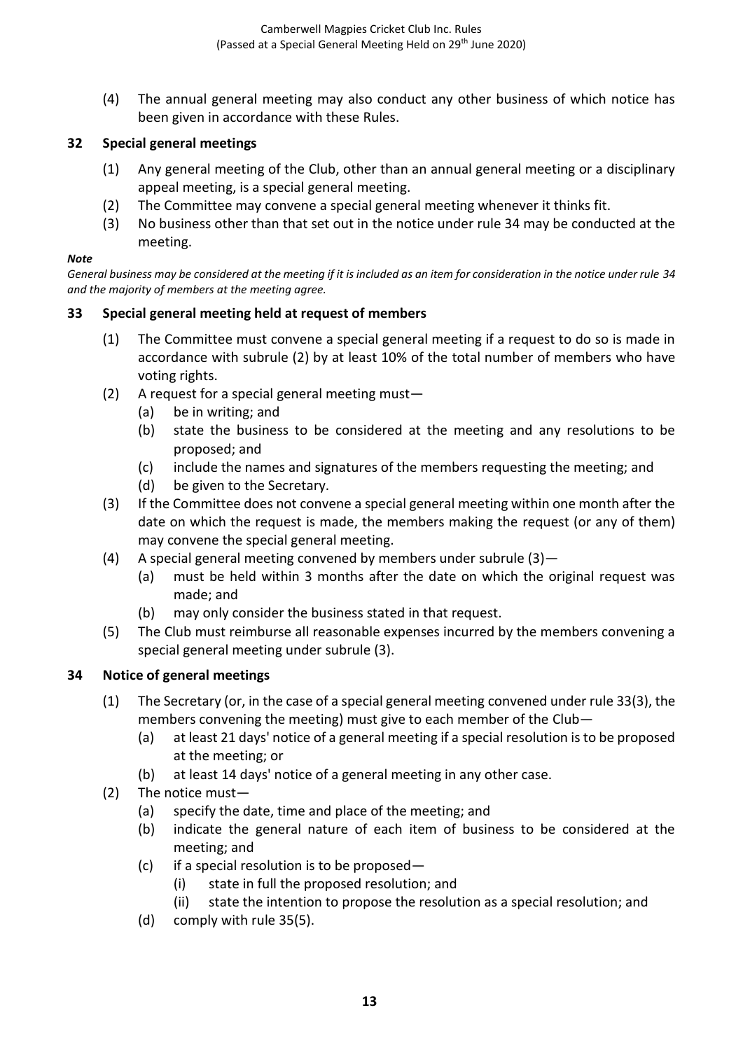(4) The annual general meeting may also conduct any other business of which notice has been given in accordance with these Rules.

## **32 Special general meetings**

- (1) Any general meeting of the Club, other than an annual general meeting or a disciplinary appeal meeting, is a special general meeting.
- (2) The Committee may convene a special general meeting whenever it thinks fit.
- (3) No business other than that set out in the notice under rule 34 may be conducted at the meeting.

#### *Note*

*General business may be considered at the meeting if it is included as an item for consideration in the notice under rule 34 and the majority of members at the meeting agree.*

## **33 Special general meeting held at request of members**

- (1) The Committee must convene a special general meeting if a request to do so is made in accordance with subrule (2) by at least 10% of the total number of members who have voting rights.
- (2) A request for a special general meeting must—
	- (a) be in writing; and
	- (b) state the business to be considered at the meeting and any resolutions to be proposed; and
	- (c) include the names and signatures of the members requesting the meeting; and
	- (d) be given to the Secretary.
- (3) If the Committee does not convene a special general meeting within one month after the date on which the request is made, the members making the request (or any of them) may convene the special general meeting.
- (4) A special general meeting convened by members under subrule  $(3)$ 
	- (a) must be held within 3 months after the date on which the original request was made; and
	- (b) may only consider the business stated in that request.
- (5) The Club must reimburse all reasonable expenses incurred by the members convening a special general meeting under subrule (3).

### **34 Notice of general meetings**

- (1) The Secretary (or, in the case of a special general meeting convened under rule 33(3), the members convening the meeting) must give to each member of the Club—
	- (a) at least 21 days' notice of a general meeting if a special resolution is to be proposed at the meeting; or
	- (b) at least 14 days' notice of a general meeting in any other case.
- (2) The notice must—
	- (a) specify the date, time and place of the meeting; and
	- (b) indicate the general nature of each item of business to be considered at the meeting; and
	- (c) if a special resolution is to be proposed—
		- (i) state in full the proposed resolution; and
		- (ii) state the intention to propose the resolution as a special resolution; and
	- (d) comply with rule 35(5).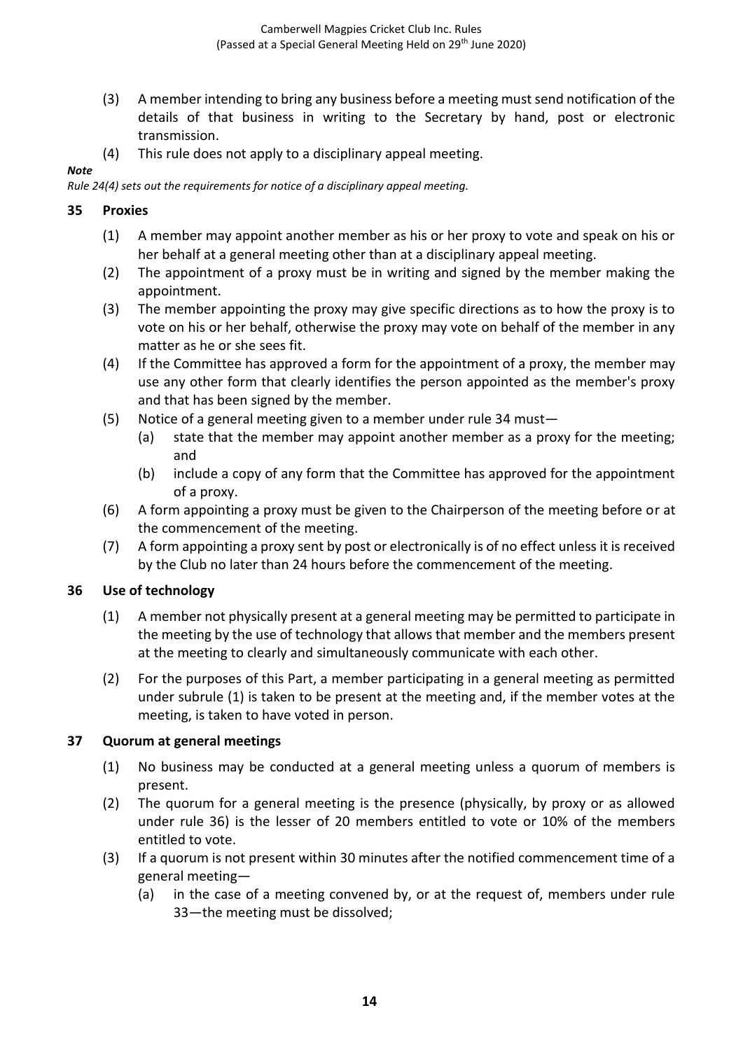- (3) A member intending to bring any business before a meeting must send notification of the details of that business in writing to the Secretary by hand, post or electronic transmission.
- (4) This rule does not apply to a disciplinary appeal meeting.

*Rule 24(4) sets out the requirements for notice of a disciplinary appeal meeting.*

### **35 Proxies**

*Note*

- (1) A member may appoint another member as his or her proxy to vote and speak on his or her behalf at a general meeting other than at a disciplinary appeal meeting.
- (2) The appointment of a proxy must be in writing and signed by the member making the appointment.
- (3) The member appointing the proxy may give specific directions as to how the proxy is to vote on his or her behalf, otherwise the proxy may vote on behalf of the member in any matter as he or she sees fit.
- (4) If the Committee has approved a form for the appointment of a proxy, the member may use any other form that clearly identifies the person appointed as the member's proxy and that has been signed by the member.
- (5) Notice of a general meeting given to a member under rule 34 must—
	- (a) state that the member may appoint another member as a proxy for the meeting; and
	- (b) include a copy of any form that the Committee has approved for the appointment of a proxy.
- (6) A form appointing a proxy must be given to the Chairperson of the meeting before or at the commencement of the meeting.
- (7) A form appointing a proxy sent by post or electronically is of no effect unless it is received by the Club no later than 24 hours before the commencement of the meeting.

### **36 Use of technology**

- (1) A member not physically present at a general meeting may be permitted to participate in the meeting by the use of technology that allows that member and the members present at the meeting to clearly and simultaneously communicate with each other.
- (2) For the purposes of this Part, a member participating in a general meeting as permitted under subrule (1) is taken to be present at the meeting and, if the member votes at the meeting, is taken to have voted in person.

### **37 Quorum at general meetings**

- (1) No business may be conducted at a general meeting unless a quorum of members is present.
- (2) The quorum for a general meeting is the presence (physically, by proxy or as allowed under rule 36) is the lesser of 20 members entitled to vote or 10% of the members entitled to vote.
- (3) If a quorum is not present within 30 minutes after the notified commencement time of a general meeting—
	- (a) in the case of a meeting convened by, or at the request of, members under rule 33—the meeting must be dissolved;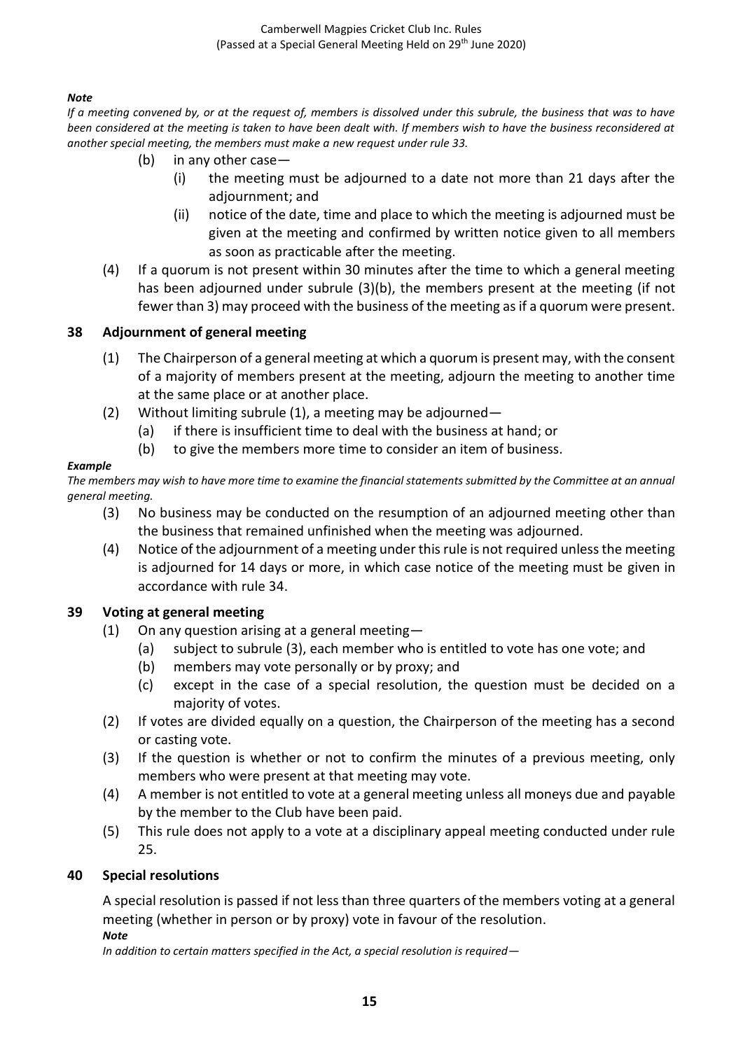Camberwell Magpies Cricket Club Inc. Rules (Passed at a Special General Meeting Held on 29<sup>th</sup> June 2020)

#### *Note*

*If a meeting convened by, or at the request of, members is dissolved under this subrule, the business that was to have been considered at the meeting is taken to have been dealt with. If members wish to have the business reconsidered at another special meeting, the members must make a new request under rule 33.*

- (b) in any other case—
	- (i) the meeting must be adjourned to a date not more than 21 days after the adjournment; and
	- (ii) notice of the date, time and place to which the meeting is adjourned must be given at the meeting and confirmed by written notice given to all members as soon as practicable after the meeting.
- (4) If a quorum is not present within 30 minutes after the time to which a general meeting has been adjourned under subrule (3)(b), the members present at the meeting (if not fewer than 3) may proceed with the business of the meeting as if a quorum were present.

#### **38 Adjournment of general meeting**

- (1) The Chairperson of a general meeting at which a quorum is present may, with the consent of a majority of members present at the meeting, adjourn the meeting to another time at the same place or at another place.
- (2) Without limiting subrule  $(1)$ , a meeting may be adjourned—
	- (a) if there is insufficient time to deal with the business at hand; or
	- (b) to give the members more time to consider an item of business.

#### *Example*

*The members may wish to have more time to examine the financial statements submitted by the Committee at an annual general meeting.*

- (3) No business may be conducted on the resumption of an adjourned meeting other than the business that remained unfinished when the meeting was adjourned.
- (4) Notice of the adjournment of a meeting under this rule is not required unless the meeting is adjourned for 14 days or more, in which case notice of the meeting must be given in accordance with rule 34.

#### **39 Voting at general meeting**

- (1) On any question arising at a general meeting—
	- (a) subject to subrule (3), each member who is entitled to vote has one vote; and
	- (b) members may vote personally or by proxy; and
	- (c) except in the case of a special resolution, the question must be decided on a majority of votes.
- (2) If votes are divided equally on a question, the Chairperson of the meeting has a second or casting vote.
- (3) If the question is whether or not to confirm the minutes of a previous meeting, only members who were present at that meeting may vote.
- (4) A member is not entitled to vote at a general meeting unless all moneys due and payable by the member to the Club have been paid.
- (5) This rule does not apply to a vote at a disciplinary appeal meeting conducted under rule 25.

#### **40 Special resolutions**

A special resolution is passed if not less than three quarters of the members voting at a general meeting (whether in person or by proxy) vote in favour of the resolution. *Note*

#### *In addition to certain matters specified in the Act, a special resolution is required—*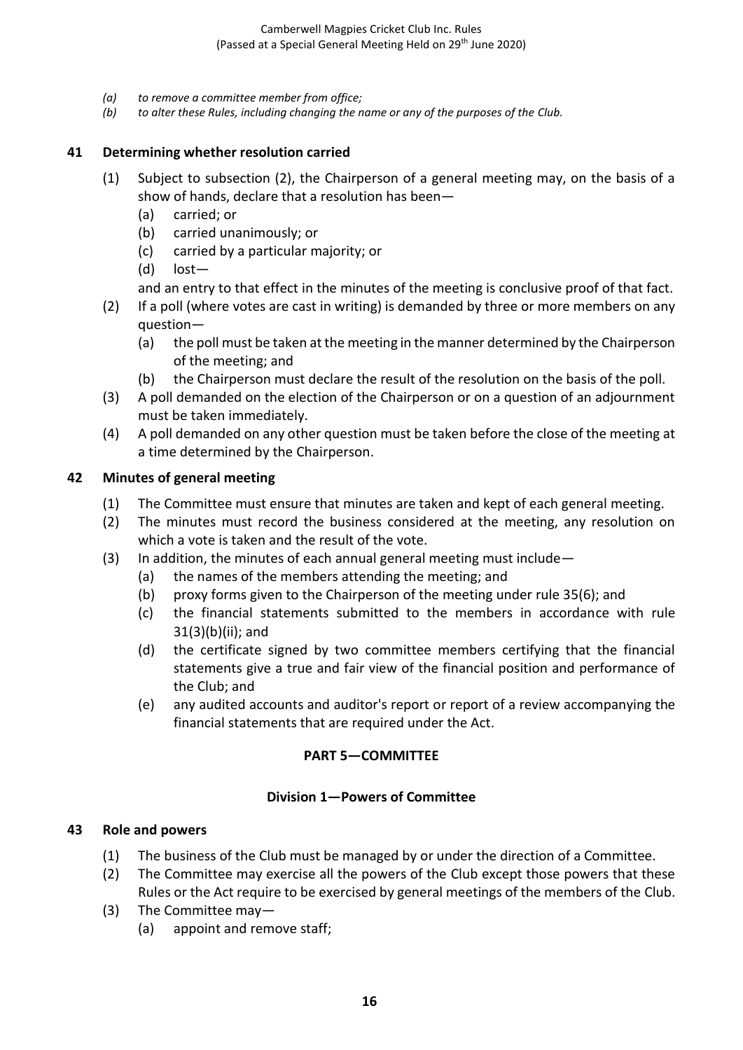- *(a) to remove a committee member from office;*
- *(b) to alter these Rules, including changing the name or any of the purposes of the Club.*

### **41 Determining whether resolution carried**

- (1) Subject to subsection (2), the Chairperson of a general meeting may, on the basis of a show of hands, declare that a resolution has been—
	- (a) carried; or
	- (b) carried unanimously; or
	- (c) carried by a particular majority; or
	- (d) lost—

and an entry to that effect in the minutes of the meeting is conclusive proof of that fact.

- (2) If a poll (where votes are cast in writing) is demanded by three or more members on any question—
	- (a) the poll must be taken at the meeting in the manner determined by the Chairperson of the meeting; and
	- (b) the Chairperson must declare the result of the resolution on the basis of the poll.
- (3) A poll demanded on the election of the Chairperson or on a question of an adjournment must be taken immediately.
- (4) A poll demanded on any other question must be taken before the close of the meeting at a time determined by the Chairperson.

### **42 Minutes of general meeting**

- (1) The Committee must ensure that minutes are taken and kept of each general meeting.
- (2) The minutes must record the business considered at the meeting, any resolution on which a vote is taken and the result of the vote.
- (3) In addition, the minutes of each annual general meeting must include—
	- (a) the names of the members attending the meeting; and
	- (b) proxy forms given to the Chairperson of the meeting under rule 35(6); and
	- (c) the financial statements submitted to the members in accordance with rule 31(3)(b)(ii); and
	- (d) the certificate signed by two committee members certifying that the financial statements give a true and fair view of the financial position and performance of the Club; and
	- (e) any audited accounts and auditor's report or report of a review accompanying the financial statements that are required under the Act.

## **PART 5—COMMITTEE**

### **Division 1—Powers of Committee**

### **43 Role and powers**

- (1) The business of the Club must be managed by or under the direction of a Committee.
- (2) The Committee may exercise all the powers of the Club except those powers that these Rules or the Act require to be exercised by general meetings of the members of the Club.
- (3) The Committee may—
	- (a) appoint and remove staff;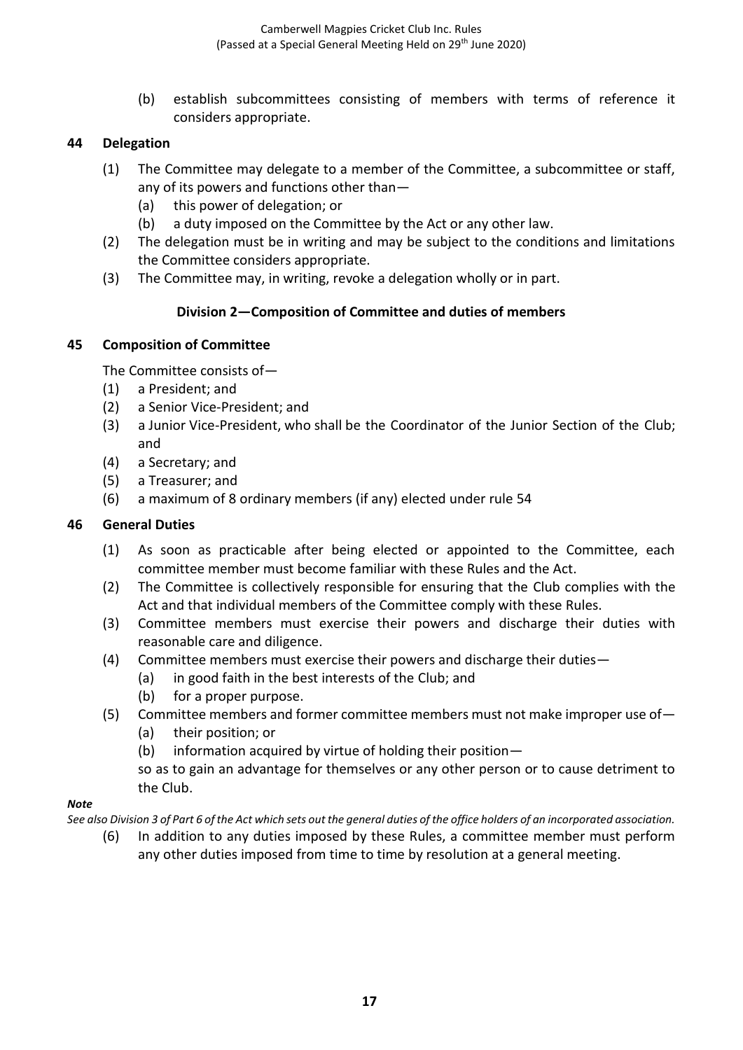(b) establish subcommittees consisting of members with terms of reference it considers appropriate.

## **44 Delegation**

- (1) The Committee may delegate to a member of the Committee, a subcommittee or staff, any of its powers and functions other than—
	- (a) this power of delegation; or
	- (b) a duty imposed on the Committee by the Act or any other law.
- (2) The delegation must be in writing and may be subject to the conditions and limitations the Committee considers appropriate.
- (3) The Committee may, in writing, revoke a delegation wholly or in part.

## **Division 2—Composition of Committee and duties of members**

### **45 Composition of Committee**

The Committee consists of—

- (1) a President; and
- (2) a Senior Vice-President; and
- (3) a Junior Vice-President, who shall be the Coordinator of the Junior Section of the Club; and
- (4) a Secretary; and
- (5) a Treasurer; and
- (6) a maximum of 8 ordinary members (if any) elected under rule 54

### **46 General Duties**

- (1) As soon as practicable after being elected or appointed to the Committee, each committee member must become familiar with these Rules and the Act.
- (2) The Committee is collectively responsible for ensuring that the Club complies with the Act and that individual members of the Committee comply with these Rules.
- (3) Committee members must exercise their powers and discharge their duties with reasonable care and diligence.
- (4) Committee members must exercise their powers and discharge their duties—
	- (a) in good faith in the best interests of the Club; and
	- (b) for a proper purpose.
- (5) Committee members and former committee members must not make improper use of—
	- (a) their position; or
	- (b) information acquired by virtue of holding their position—

so as to gain an advantage for themselves or any other person or to cause detriment to the Club.

#### *Note*

*See also Division 3 of Part 6 of the Act which sets out the general duties of the office holders of an incorporated association.*

(6) In addition to any duties imposed by these Rules, a committee member must perform any other duties imposed from time to time by resolution at a general meeting.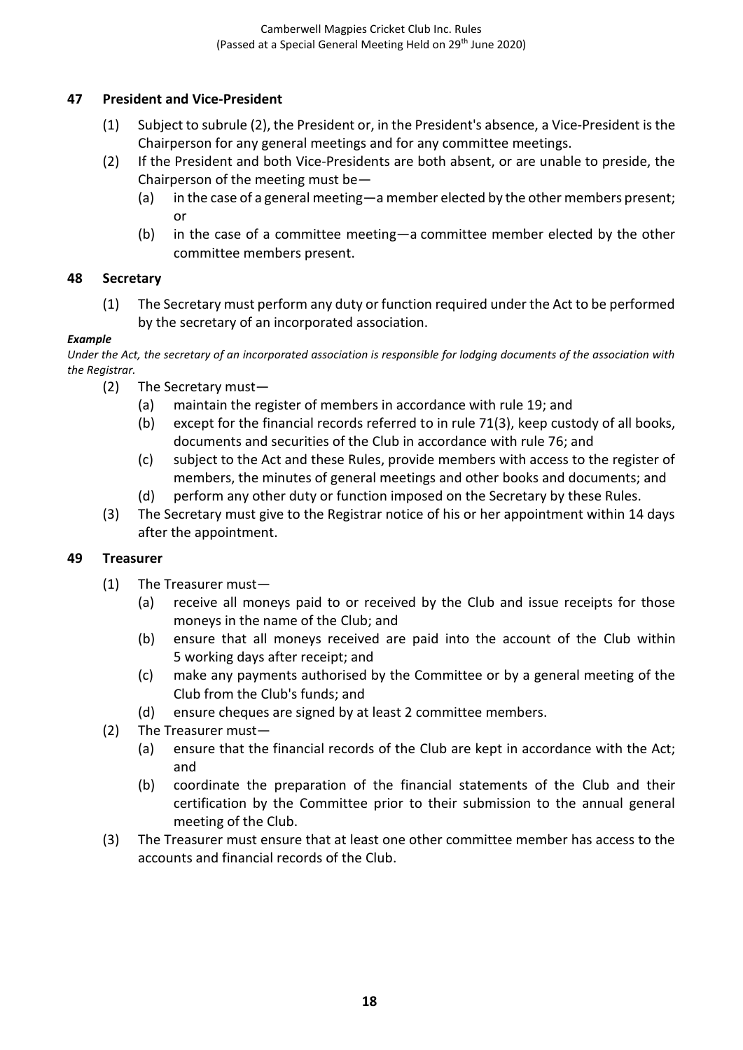## **47 President and Vice-President**

- (1) Subject to subrule (2), the President or, in the President's absence, a Vice-President is the Chairperson for any general meetings and for any committee meetings.
- (2) If the President and both Vice-Presidents are both absent, or are unable to preside, the Chairperson of the meeting must be—
	- (a) in the case of a general meeting—a member elected by the other members present; or
	- (b) in the case of a committee meeting—a committee member elected by the other committee members present.

### **48 Secretary**

(1) The Secretary must perform any duty or function required under the Act to be performed by the secretary of an incorporated association.

### *Example*

*Under the Act, the secretary of an incorporated association is responsible for lodging documents of the association with the Registrar.*

- (2) The Secretary must—
	- (a) maintain the register of members in accordance with rule 19; and
	- (b) except for the financial records referred to in rule 71(3), keep custody of all books, documents and securities of the Club in accordance with rule 76; and
	- (c) subject to the Act and these Rules, provide members with access to the register of members, the minutes of general meetings and other books and documents; and
	- (d) perform any other duty or function imposed on the Secretary by these Rules.
- (3) The Secretary must give to the Registrar notice of his or her appointment within 14 days after the appointment.

### **49 Treasurer**

- (1) The Treasurer must—
	- (a) receive all moneys paid to or received by the Club and issue receipts for those moneys in the name of the Club; and
	- (b) ensure that all moneys received are paid into the account of the Club within 5 working days after receipt; and
	- (c) make any payments authorised by the Committee or by a general meeting of the Club from the Club's funds; and
	- (d) ensure cheques are signed by at least 2 committee members.
- (2) The Treasurer must—
	- (a) ensure that the financial records of the Club are kept in accordance with the Act; and
	- (b) coordinate the preparation of the financial statements of the Club and their certification by the Committee prior to their submission to the annual general meeting of the Club.
- (3) The Treasurer must ensure that at least one other committee member has access to the accounts and financial records of the Club.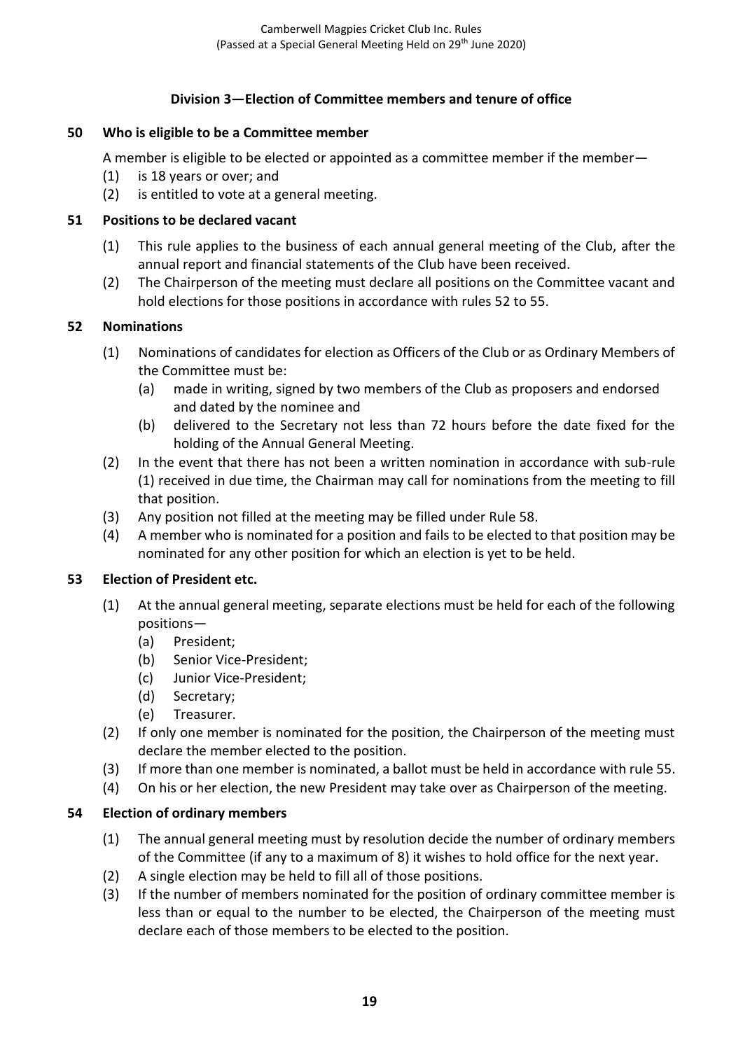## **Division 3—Election of Committee members and tenure of office**

### **50 Who is eligible to be a Committee member**

A member is eligible to be elected or appointed as a committee member if the member—

- (1) is 18 years or over; and
- (2) is entitled to vote at a general meeting.

#### **51 Positions to be declared vacant**

- (1) This rule applies to the business of each annual general meeting of the Club, after the annual report and financial statements of the Club have been received.
- (2) The Chairperson of the meeting must declare all positions on the Committee vacant and hold elections for those positions in accordance with rules 52 to 55.

#### **52 Nominations**

- (1) Nominations of candidates for election as Officers of the Club or as Ordinary Members of the Committee must be:
	- (a) made in writing, signed by two members of the Club as proposers and endorsed and dated by the nominee and
	- (b) delivered to the Secretary not less than 72 hours before the date fixed for the holding of the Annual General Meeting.
- (2) In the event that there has not been a written nomination in accordance with sub-rule (1) received in due time, the Chairman may call for nominations from the meeting to fill that position.
- (3) Any position not filled at the meeting may be filled under Rule 58.
- (4) A member who is nominated for a position and fails to be elected to that position may be nominated for any other position for which an election is yet to be held.

#### **53 Election of President etc.**

- (1) At the annual general meeting, separate elections must be held for each of the following positions—
	- (a) President;
	- (b) Senior Vice-President;
	- (c) Junior Vice-President;
	- (d) Secretary;
	- (e) Treasurer.
- (2) If only one member is nominated for the position, the Chairperson of the meeting must declare the member elected to the position.
- (3) If more than one member is nominated, a ballot must be held in accordance with rule 55.
- (4) On his or her election, the new President may take over as Chairperson of the meeting.

### **54 Election of ordinary members**

- (1) The annual general meeting must by resolution decide the number of ordinary members of the Committee (if any to a maximum of 8) it wishes to hold office for the next year.
- (2) A single election may be held to fill all of those positions.
- (3) If the number of members nominated for the position of ordinary committee member is less than or equal to the number to be elected, the Chairperson of the meeting must declare each of those members to be elected to the position.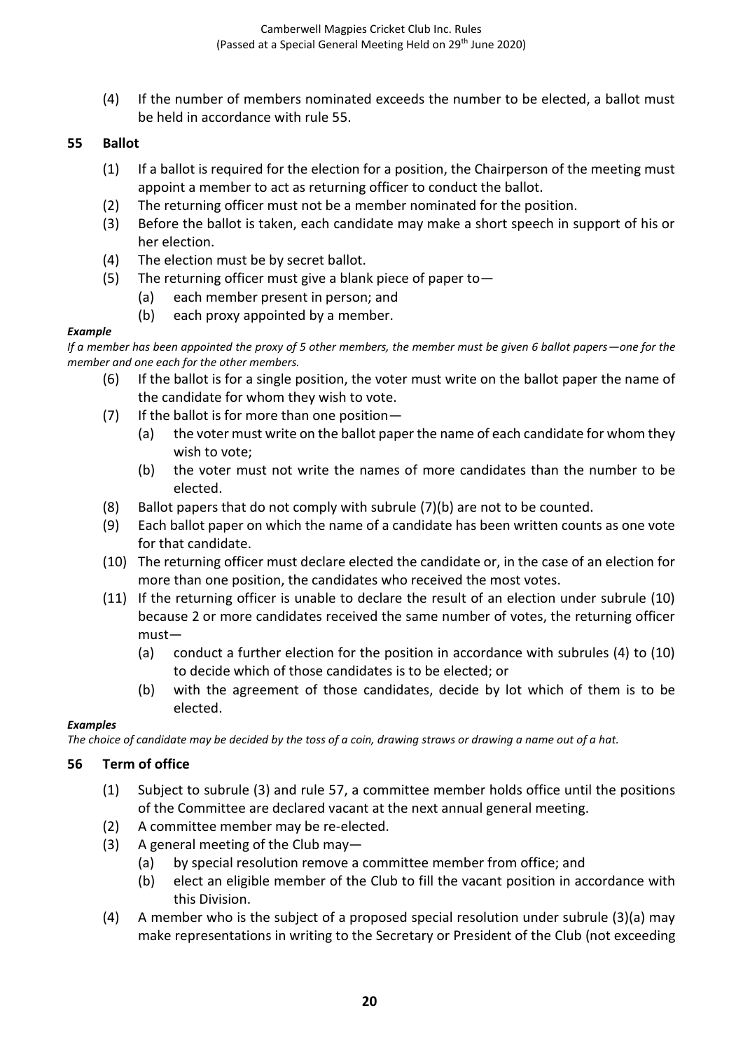(4) If the number of members nominated exceeds the number to be elected, a ballot must be held in accordance with rule 55.

### **55 Ballot**

- (1) If a ballot is required for the election for a position, the Chairperson of the meeting must appoint a member to act as returning officer to conduct the ballot.
- (2) The returning officer must not be a member nominated for the position.
- (3) Before the ballot is taken, each candidate may make a short speech in support of his or her election.
- (4) The election must be by secret ballot.
- (5) The returning officer must give a blank piece of paper to  $-$ 
	- (a) each member present in person; and
	- (b) each proxy appointed by a member.

#### *Example*

*If a member has been appointed the proxy of 5 other members, the member must be given 6 ballot papers—one for the member and one each for the other members.*

- (6) If the ballot is for a single position, the voter must write on the ballot paper the name of the candidate for whom they wish to vote.
- $(7)$  If the ballot is for more than one position—
	- (a) the voter must write on the ballot paper the name of each candidate for whom they wish to vote;
	- (b) the voter must not write the names of more candidates than the number to be elected.
- (8) Ballot papers that do not comply with subrule (7)(b) are not to be counted.
- (9) Each ballot paper on which the name of a candidate has been written counts as one vote for that candidate.
- (10) The returning officer must declare elected the candidate or, in the case of an election for more than one position, the candidates who received the most votes.
- (11) If the returning officer is unable to declare the result of an election under subrule (10) because 2 or more candidates received the same number of votes, the returning officer must—
	- (a) conduct a further election for the position in accordance with subrules (4) to (10) to decide which of those candidates is to be elected; or
	- (b) with the agreement of those candidates, decide by lot which of them is to be elected.

#### *Examples*

*The choice of candidate may be decided by the toss of a coin, drawing straws or drawing a name out of a hat.*

### **56 Term of office**

- (1) Subject to subrule (3) and rule 57, a committee member holds office until the positions of the Committee are declared vacant at the next annual general meeting.
- (2) A committee member may be re-elected.
- (3) A general meeting of the Club may—
	- (a) by special resolution remove a committee member from office; and
	- (b) elect an eligible member of the Club to fill the vacant position in accordance with this Division.
- (4) A member who is the subject of a proposed special resolution under subrule (3)(a) may make representations in writing to the Secretary or President of the Club (not exceeding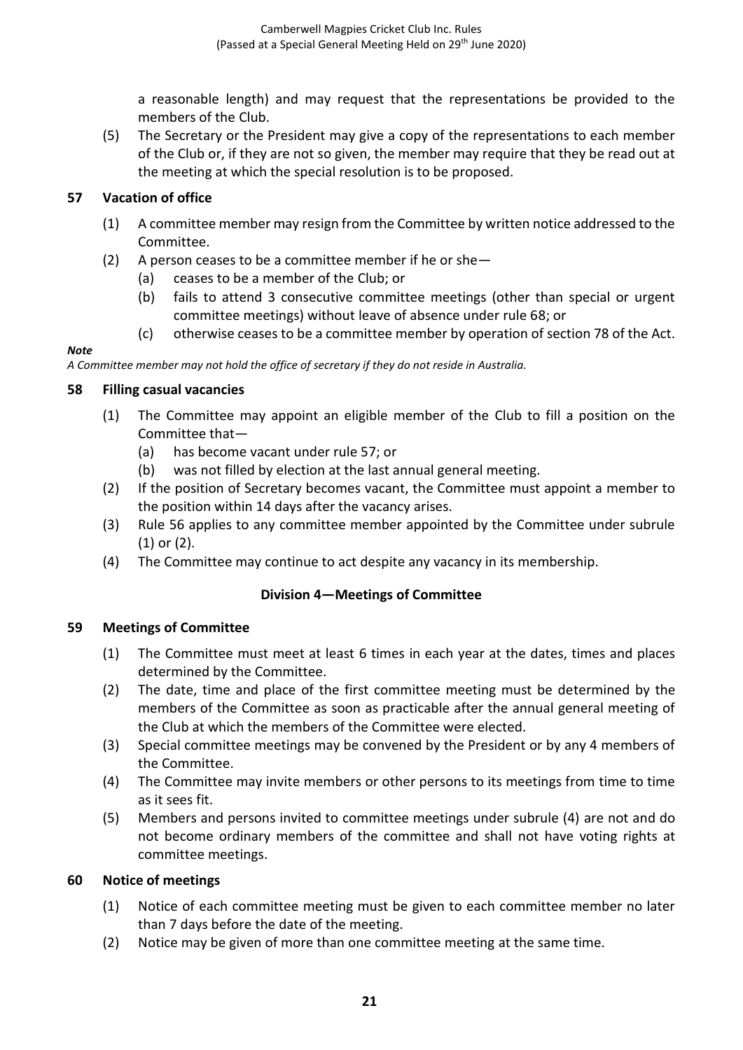a reasonable length) and may request that the representations be provided to the members of the Club.

(5) The Secretary or the President may give a copy of the representations to each member of the Club or, if they are not so given, the member may require that they be read out at the meeting at which the special resolution is to be proposed.

## **57 Vacation of office**

- (1) A committee member may resign from the Committee by written notice addressed to the Committee.
- (2) A person ceases to be a committee member if he or she—
	- (a) ceases to be a member of the Club; or
	- (b) fails to attend 3 consecutive committee meetings (other than special or urgent committee meetings) without leave of absence under rule 68; or
	- (c) otherwise ceases to be a committee member by operation of section 78 of the Act.

#### *Note*

*A Committee member may not hold the office of secretary if they do not reside in Australia.*

### **58 Filling casual vacancies**

- (1) The Committee may appoint an eligible member of the Club to fill a position on the Committee that—
	- (a) has become vacant under rule 57; or
	- (b) was not filled by election at the last annual general meeting.
- (2) If the position of Secretary becomes vacant, the Committee must appoint a member to the position within 14 days after the vacancy arises.
- (3) Rule 56 applies to any committee member appointed by the Committee under subrule (1) or (2).
- (4) The Committee may continue to act despite any vacancy in its membership.

### **Division 4—Meetings of Committee**

### **59 Meetings of Committee**

- (1) The Committee must meet at least 6 times in each year at the dates, times and places determined by the Committee.
- (2) The date, time and place of the first committee meeting must be determined by the members of the Committee as soon as practicable after the annual general meeting of the Club at which the members of the Committee were elected.
- (3) Special committee meetings may be convened by the President or by any 4 members of the Committee.
- (4) The Committee may invite members or other persons to its meetings from time to time as it sees fit.
- (5) Members and persons invited to committee meetings under subrule (4) are not and do not become ordinary members of the committee and shall not have voting rights at committee meetings.

### **60 Notice of meetings**

- (1) Notice of each committee meeting must be given to each committee member no later than 7 days before the date of the meeting.
- (2) Notice may be given of more than one committee meeting at the same time.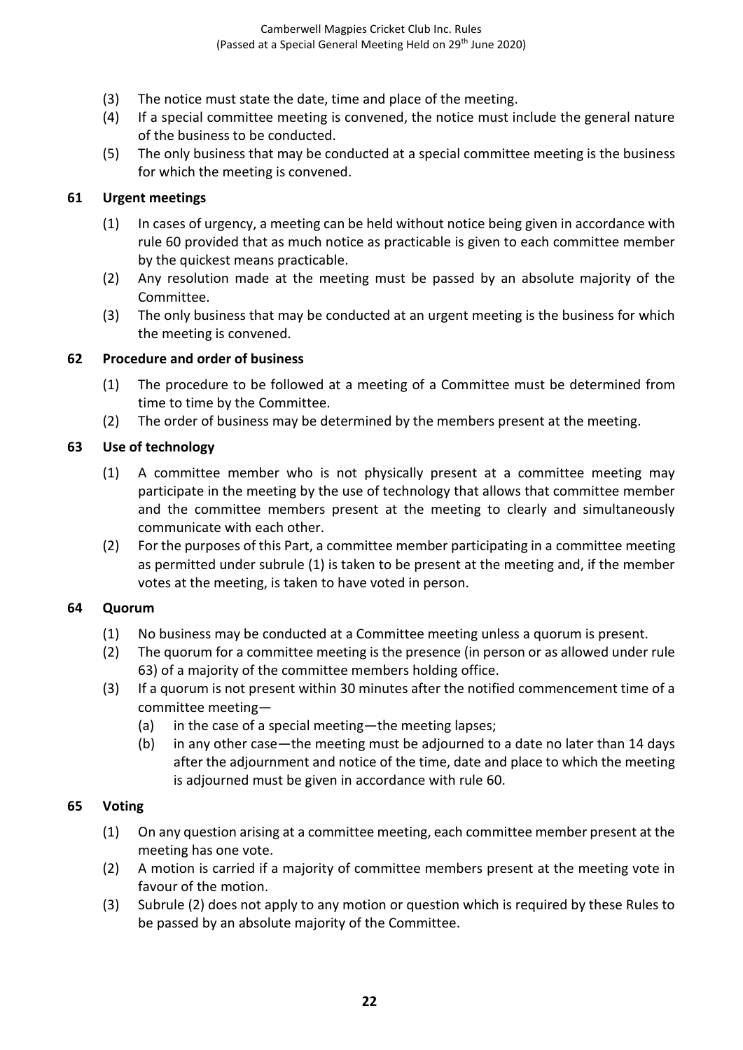- (3) The notice must state the date, time and place of the meeting.
- (4) If a special committee meeting is convened, the notice must include the general nature of the business to be conducted.
- (5) The only business that may be conducted at a special committee meeting is the business for which the meeting is convened.

### **61 Urgent meetings**

- (1) In cases of urgency, a meeting can be held without notice being given in accordance with rule 60 provided that as much notice as practicable is given to each committee member by the quickest means practicable.
- (2) Any resolution made at the meeting must be passed by an absolute majority of the Committee.
- (3) The only business that may be conducted at an urgent meeting is the business for which the meeting is convened.

#### **62 Procedure and order of business**

- (1) The procedure to be followed at a meeting of a Committee must be determined from time to time by the Committee.
- (2) The order of business may be determined by the members present at the meeting.

### **63 Use of technology**

- (1) A committee member who is not physically present at a committee meeting may participate in the meeting by the use of technology that allows that committee member and the committee members present at the meeting to clearly and simultaneously communicate with each other.
- (2) For the purposes of this Part, a committee member participating in a committee meeting as permitted under subrule (1) is taken to be present at the meeting and, if the member votes at the meeting, is taken to have voted in person.

### **64 Quorum**

- (1) No business may be conducted at a Committee meeting unless a quorum is present.
- (2) The quorum for a committee meeting is the presence (in person or as allowed under rule 63) of a majority of the committee members holding office.
- (3) If a quorum is not present within 30 minutes after the notified commencement time of a committee meeting—
	- (a) in the case of a special meeting—the meeting lapses;
	- (b) in any other case—the meeting must be adjourned to a date no later than 14 days after the adjournment and notice of the time, date and place to which the meeting is adjourned must be given in accordance with rule 60.

#### **65 Voting**

- (1) On any question arising at a committee meeting, each committee member present at the meeting has one vote.
- (2) A motion is carried if a majority of committee members present at the meeting vote in favour of the motion.
- (3) Subrule (2) does not apply to any motion or question which is required by these Rules to be passed by an absolute majority of the Committee.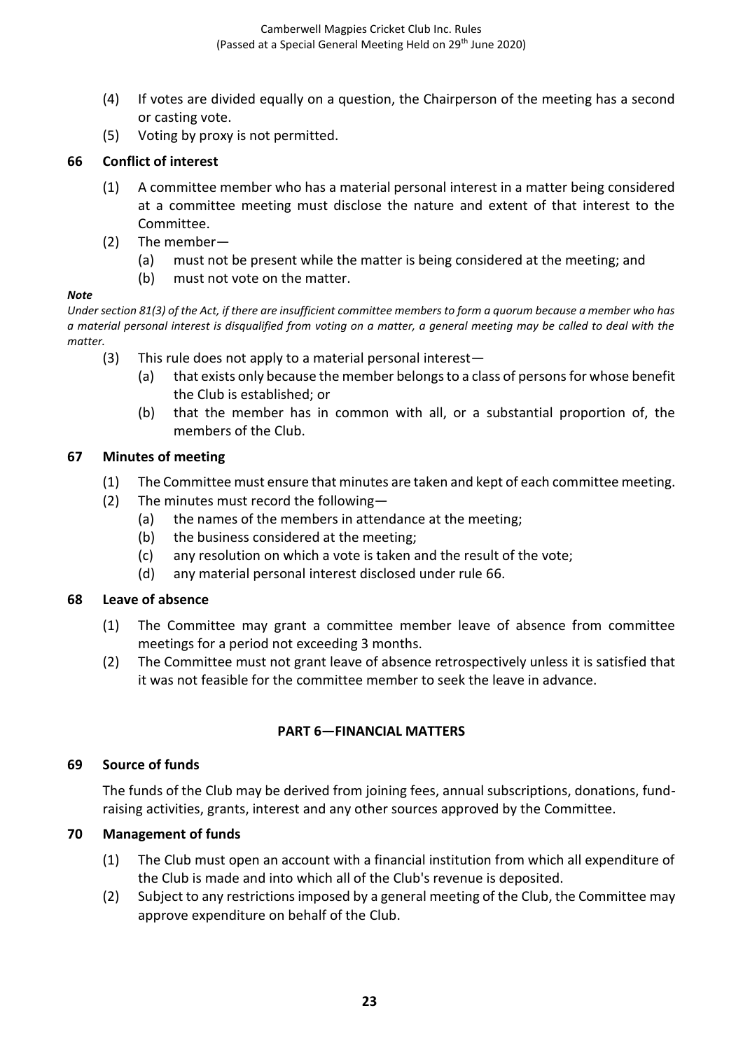- (4) If votes are divided equally on a question, the Chairperson of the meeting has a second or casting vote.
- (5) Voting by proxy is not permitted.

## **66 Conflict of interest**

- (1) A committee member who has a material personal interest in a matter being considered at a committee meeting must disclose the nature and extent of that interest to the Committee.
- (2) The member—
	- (a) must not be present while the matter is being considered at the meeting; and
	- (b) must not vote on the matter.

#### *Note*

*Under section 81(3) of the Act, if there are insufficient committee members to form a quorum because a member who has a material personal interest is disqualified from voting on a matter, a general meeting may be called to deal with the matter.*

- (3) This rule does not apply to a material personal interest—
	- (a) that exists only because the member belongs to a class of persons for whose benefit the Club is established; or
	- (b) that the member has in common with all, or a substantial proportion of, the members of the Club.

## **67 Minutes of meeting**

- (1) The Committee must ensure that minutes are taken and kept of each committee meeting.
- (2) The minutes must record the following—
	- (a) the names of the members in attendance at the meeting;
	- (b) the business considered at the meeting;
	- (c) any resolution on which a vote is taken and the result of the vote;
	- (d) any material personal interest disclosed under rule 66.

### **68 Leave of absence**

- (1) The Committee may grant a committee member leave of absence from committee meetings for a period not exceeding 3 months.
- (2) The Committee must not grant leave of absence retrospectively unless it is satisfied that it was not feasible for the committee member to seek the leave in advance.

## **PART 6—FINANCIAL MATTERS**

## **69 Source of funds**

The funds of the Club may be derived from joining fees, annual subscriptions, donations, fundraising activities, grants, interest and any other sources approved by the Committee.

### **70 Management of funds**

- (1) The Club must open an account with a financial institution from which all expenditure of the Club is made and into which all of the Club's revenue is deposited.
- (2) Subject to any restrictions imposed by a general meeting of the Club, the Committee may approve expenditure on behalf of the Club.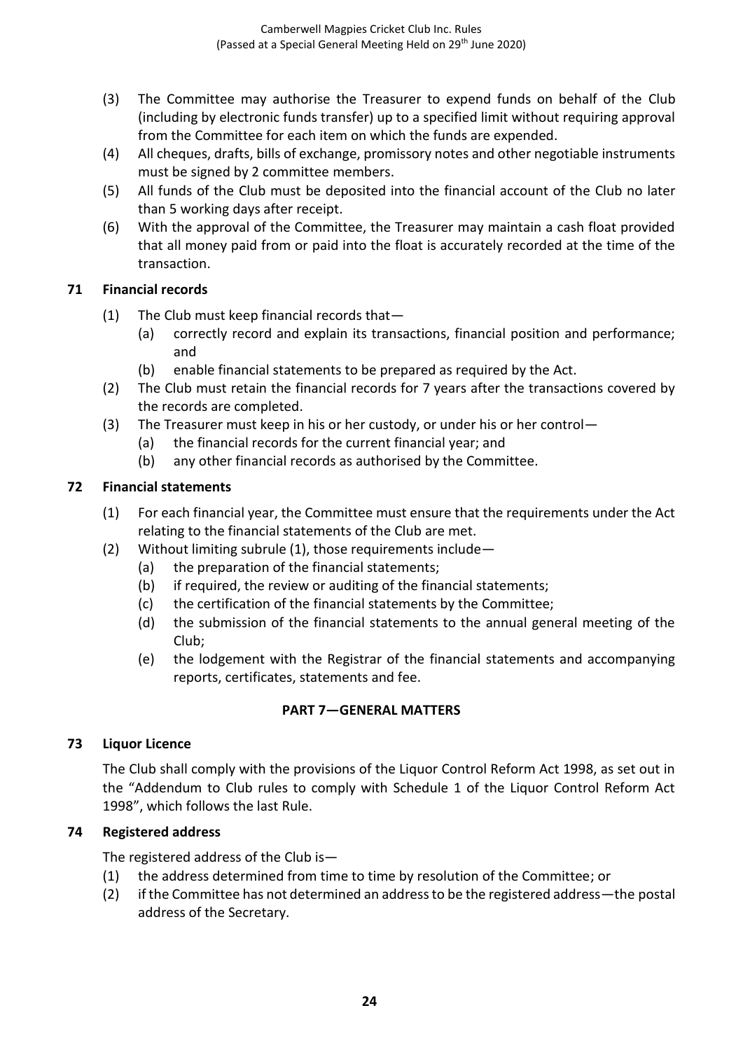- (3) The Committee may authorise the Treasurer to expend funds on behalf of the Club (including by electronic funds transfer) up to a specified limit without requiring approval from the Committee for each item on which the funds are expended.
- (4) All cheques, drafts, bills of exchange, promissory notes and other negotiable instruments must be signed by 2 committee members.
- (5) All funds of the Club must be deposited into the financial account of the Club no later than 5 working days after receipt.
- (6) With the approval of the Committee, the Treasurer may maintain a cash float provided that all money paid from or paid into the float is accurately recorded at the time of the transaction.

## **71 Financial records**

- (1) The Club must keep financial records that—
	- (a) correctly record and explain its transactions, financial position and performance; and
	- (b) enable financial statements to be prepared as required by the Act.
- (2) The Club must retain the financial records for 7 years after the transactions covered by the records are completed.
- (3) The Treasurer must keep in his or her custody, or under his or her control—
	- (a) the financial records for the current financial year; and
	- (b) any other financial records as authorised by the Committee.

## **72 Financial statements**

- (1) For each financial year, the Committee must ensure that the requirements under the Act relating to the financial statements of the Club are met.
- (2) Without limiting subrule (1), those requirements include—
	- (a) the preparation of the financial statements;
	- (b) if required, the review or auditing of the financial statements;
	- (c) the certification of the financial statements by the Committee;
	- (d) the submission of the financial statements to the annual general meeting of the Club;
	- (e) the lodgement with the Registrar of the financial statements and accompanying reports, certificates, statements and fee.

### **PART 7—GENERAL MATTERS**

### **73 Liquor Licence**

The Club shall comply with the provisions of the Liquor Control Reform Act 1998, as set out in the "Addendum to Club rules to comply with Schedule 1 of the Liquor Control Reform Act 1998", which follows the last Rule.

### **74 Registered address**

The registered address of the Club is—

- (1) the address determined from time to time by resolution of the Committee; or
- (2) if the Committee has not determined an address to be the registered address—the postal address of the Secretary.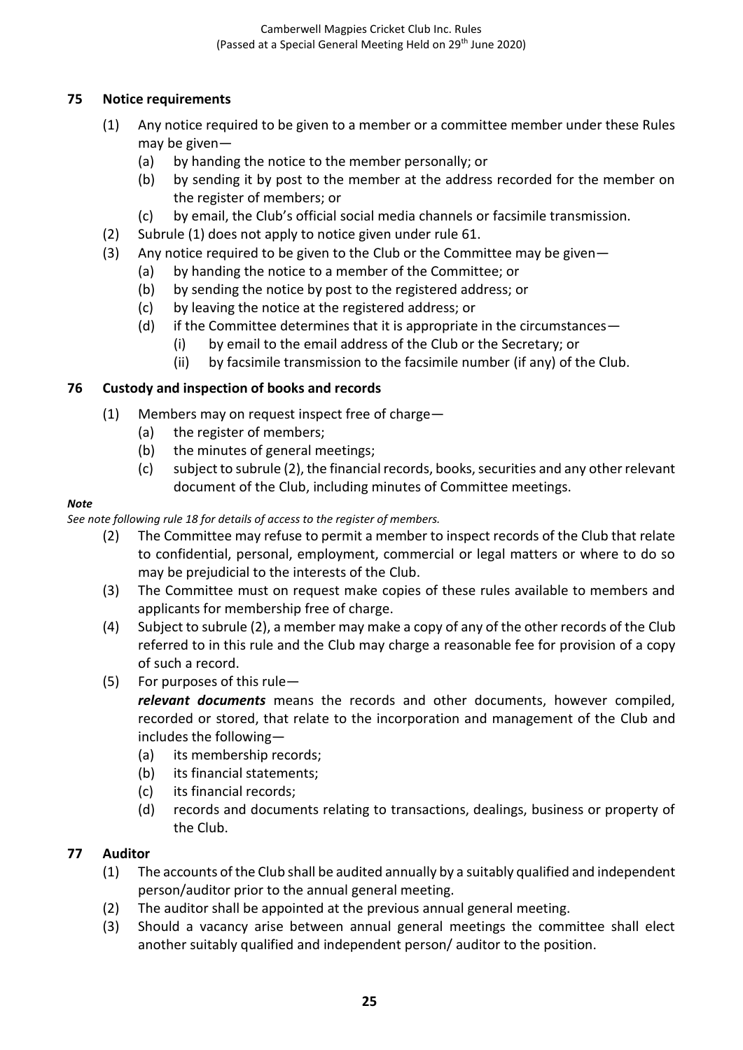## **75 Notice requirements**

- (1) Any notice required to be given to a member or a committee member under these Rules may be given—
	- (a) by handing the notice to the member personally; or
	- (b) by sending it by post to the member at the address recorded for the member on the register of members; or
	- (c) by email, the Club's official social media channels or facsimile transmission.
- (2) Subrule (1) does not apply to notice given under rule 61.
- (3) Any notice required to be given to the Club or the Committee may be given—
	- (a) by handing the notice to a member of the Committee; or
	- (b) by sending the notice by post to the registered address; or
	- (c) by leaving the notice at the registered address; or
	- (d) if the Committee determines that it is appropriate in the circumstances—
		- (i) by email to the email address of the Club or the Secretary; or
		- (ii) by facsimile transmission to the facsimile number (if any) of the Club.

## **76 Custody and inspection of books and records**

- (1) Members may on request inspect free of charge—
	- (a) the register of members;
	- (b) the minutes of general meetings;
	- (c) subject to subrule (2), the financial records, books, securities and any other relevant document of the Club, including minutes of Committee meetings.

#### *Note*

*See note following rule 18 for details of access to the register of members.*

- (2) The Committee may refuse to permit a member to inspect records of the Club that relate to confidential, personal, employment, commercial or legal matters or where to do so may be prejudicial to the interests of the Club.
- (3) The Committee must on request make copies of these rules available to members and applicants for membership free of charge.
- (4) Subject to subrule (2), a member may make a copy of any of the other records of the Club referred to in this rule and the Club may charge a reasonable fee for provision of a copy of such a record.
- (5) For purposes of this rule—

*relevant documents* means the records and other documents, however compiled, recorded or stored, that relate to the incorporation and management of the Club and includes the following—

- (a) its membership records;
- (b) its financial statements;
- (c) its financial records;
- (d) records and documents relating to transactions, dealings, business or property of the Club.

### **77 Auditor**

- (1) The accounts of the Club shall be audited annually by a suitably qualified and independent person/auditor prior to the annual general meeting.
- (2) The auditor shall be appointed at the previous annual general meeting.
- (3) Should a vacancy arise between annual general meetings the committee shall elect another suitably qualified and independent person/ auditor to the position.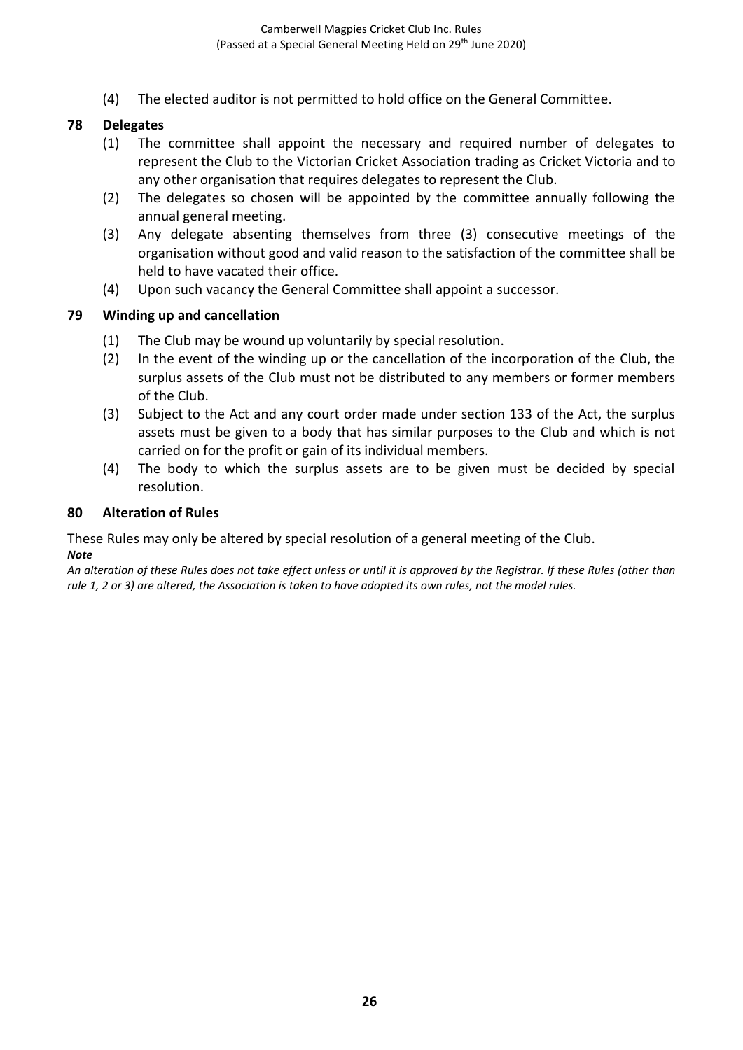(4) The elected auditor is not permitted to hold office on the General Committee.

#### **78 Delegates**

- (1) The committee shall appoint the necessary and required number of delegates to represent the Club to the Victorian Cricket Association trading as Cricket Victoria and to any other organisation that requires delegates to represent the Club.
- (2) The delegates so chosen will be appointed by the committee annually following the annual general meeting.
- (3) Any delegate absenting themselves from three (3) consecutive meetings of the organisation without good and valid reason to the satisfaction of the committee shall be held to have vacated their office.
- (4) Upon such vacancy the General Committee shall appoint a successor.

#### **79 Winding up and cancellation**

- (1) The Club may be wound up voluntarily by special resolution.
- (2) In the event of the winding up or the cancellation of the incorporation of the Club, the surplus assets of the Club must not be distributed to any members or former members of the Club.
- (3) Subject to the Act and any court order made under section 133 of the Act, the surplus assets must be given to a body that has similar purposes to the Club and which is not carried on for the profit or gain of its individual members.
- (4) The body to which the surplus assets are to be given must be decided by special resolution.

#### **80 Alteration of Rules**

These Rules may only be altered by special resolution of a general meeting of the Club. *Note*

*An alteration of these Rules does not take effect unless or until it is approved by the Registrar. If these Rules (other than rule 1, 2 or 3) are altered, the Association is taken to have adopted its own rules, not the model rules.*